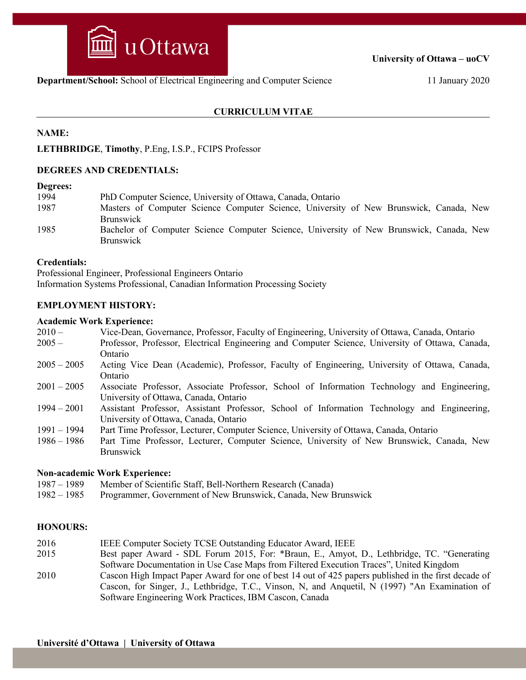

**University of Ottawa – uoCV**

#### **CURRICULUM VITAE**

### **NAME:**

**LETHBRIDGE**, **Timothy**, P.Eng, I.S.P., FCIPS Professor

#### **DEGREES AND CREDENTIALS:**

#### **Degrees:**

| 1994 | PhD Computer Science, University of Ottawa, Canada, Ontario                                                                     |
|------|---------------------------------------------------------------------------------------------------------------------------------|
| 1987 | Masters of Computer Science Computer Science, University of New Brunswick, Canada, New                                          |
| 1985 | <b>Brunswick</b><br>Bachelor of Computer Science Computer Science, University of New Brunswick, Canada, New<br><b>Brunswick</b> |

#### **Credentials:**

Professional Engineer, Professional Engineers Ontario Information Systems Professional, Canadian Information Processing Society

#### **EMPLOYMENT HISTORY:**

#### **Academic Work Experience:**

- 2010 Vice-Dean, Governance, Professor, Faculty of Engineering, University of Ottawa, Canada, Ontario
- 2005 Professor, Professor, Electrical Engineering and Computer Science, University of Ottawa, Canada, Ontario
- 2005 2005 Acting Vice Dean (Academic), Professor, Faculty of Engineering, University of Ottawa, Canada, Ontario
- 2001 2005 Associate Professor, Associate Professor, School of Information Technology and Engineering, University of Ottawa, Canada, Ontario
- 1994 2001 Assistant Professor, Assistant Professor, School of Information Technology and Engineering, University of Ottawa, Canada, Ontario
- 1991 1994 Part Time Professor, Lecturer, Computer Science, University of Ottawa, Canada, Ontario
- 1986 1986 Part Time Professor, Lecturer, Computer Science, University of New Brunswick, Canada, New Brunswick

#### **Non-academic Work Experience:**

- 1987 1989 Member of Scientific Staff, Bell-Northern Research (Canada)
- 1982 1985 Programmer, Government of New Brunswick, Canada, New Brunswick

#### **HONOURS:**

- 2016 IEEE Computer Society TCSE Outstanding Educator Award, IEEE
- 2015 Best paper Award SDL Forum 2015, For: \*Braun, E., Amyot, D., Lethbridge, TC. "Generating Software Documentation in Use Case Maps from Filtered Execution Traces", United Kingdom
- 2010 Cascon High Impact Paper Award for one of best 14 out of 425 papers published in the first decade of Cascon, for Singer, J., Lethbridge, T.C., Vinson, N, and Anquetil, N (1997) "An Examination of Software Engineering Work Practices, IBM Cascon, Canada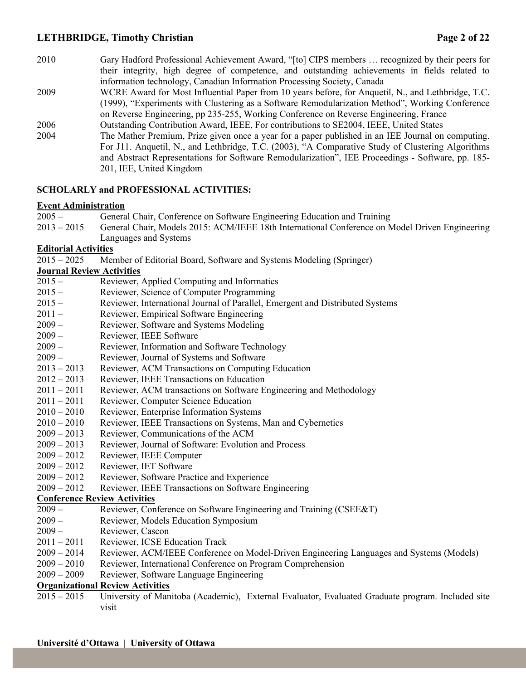## **LETHBRIDGE, Timothy Christian Page 2 of 22**

2010 Gary Hadford Professional Achievement Award, "[to] CIPS members … recognized by their peers for their integrity, high degree of competence, and outstanding achievements in fields related to information technology, Canadian Information Processing Society, Canada 2009 WCRE Award for Most Influential Paper from 10 years before, for Anquetil, N., and Lethbridge, T.C. (1999), "Experiments with Clustering as a Software Remodularization Method", Working Conference on Reverse Engineering, pp 235-255, Working Conference on Reverse Engineering, France 2006 Outstanding Contribution Award, IEEE, For contributions to SE2004, IEEE, United States 2004 The Mather Premium, Prize given once a year for a paper published in an IEE Journal on computing. For J11. Anquetil, N., and Lethbridge, T.C. (2003), "A Comparative Study of Clustering Algorithms and Abstract Representations for Software Remodularization", IEE Proceedings - Software, pp. 185- 201, IEE, United Kingdom

### **SCHOLARLY and PROFESSIONAL ACTIVITIES:**

#### **Event Administration**

| $2005 -$ | General Chair, Conference on Software Engineering Education and Training                                   |
|----------|------------------------------------------------------------------------------------------------------------|
|          | 2013 – 2015 General Chair, Models 2015: ACM/IEEE 18th International Conference on Model Driven Engineering |
|          |                                                                                                            |

Languages and Systems

#### **Editorial Activities**

2015 – 2025 Member of Editorial Board, Software and Systems Modeling (Springer)

### **Journal Review Activities**

- 2015 Reviewer, Applied Computing and Informatics
- 2015 Reviewer, Science of Computer Programming
- 2015 Reviewer, International Journal of Parallel, Emergent and Distributed Systems
- 2011 Reviewer, Empirical Software Engineering
- 2009 Reviewer, Software and Systems Modeling
- 2009 Reviewer, IEEE Software
- 2009 Reviewer, Information and Software Technology
- 2009 Reviewer, Journal of Systems and Software
- 2013 2013 Reviewer, ACM Transactions on Computing Education
- 2012 2013 Reviewer, IEEE Transactions on Education
- 2011 2011 Reviewer, ACM transactions on Software Engineering and Methodology
- 2011 2011 Reviewer, Computer Science Education
- 2010 2010 Reviewer, Enterprise Information Systems
- 2010 2010 Reviewer, IEEE Transactions on Systems, Man and Cybernetics
- 2009 2013 Reviewer, Communications of the ACM
- 2009 2013 Reviewer, Journal of Software: Evolution and Process
- 2009 2012 Reviewer, IEEE Computer
- 2009 2012 Reviewer, IET Software
- 2009 2012 Reviewer, Software Practice and Experience
- 2009 2012 Reviewer, IEEE Transactions on Software Engineering

#### **Conference Review Activities**

- 2009 Reviewer, Conference on Software Engineering and Training (CSEE&T)
- 2009 Reviewer, Models Education Symposium
- 2009 Reviewer, Cascon
- 2011 2011 Reviewer, ICSE Education Track
- 2009 2014 Reviewer, ACM/IEEE Conference on Model-Driven Engineering Languages and Systems (Models)
- 2009 2010 Reviewer, International Conference on Program Comprehension
- 2009 2009 Reviewer, Software Language Engineering

### **Organizational Review Activities**

2015 – 2015 University of Manitoba (Academic), External Evaluator, Evaluated Graduate program. Included site visit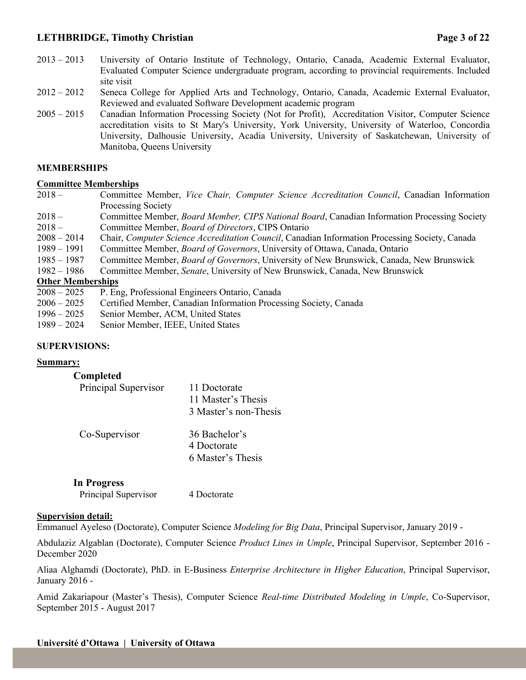## **LETHBRIDGE, Timothy Christian Page 3 of 22**

- 2013 2013 University of Ontario Institute of Technology, Ontario, Canada, Academic External Evaluator, Evaluated Computer Science undergraduate program, according to provincial requirements. Included site visit
- 2012 2012 Seneca College for Applied Arts and Technology, Ontario, Canada, Academic External Evaluator, Reviewed and evaluated Software Development academic program
- 2005 2015 Canadian Information Processing Society (Not for Profit), Accreditation Visitor, Computer Science accreditation visits to St Mary's University, York University, University of Waterloo, Concordia University, Dalhousie University, Acadia University, University of Saskatchewan, University of Manitoba, Queens University

#### **MEMBERSHIPS**

#### **Committee Memberships**

- 2018 Committee Member, *Vice Chair, Computer Science Accreditation Council*, Canadian Information Processing Society
- 2018 Committee Member, *Board Member, CIPS National Board*, Canadian Information Processing Society 2018 – Committee Member, *Board of Directors*, CIPS Ontario
- 2008 2014 Chair, *Computer Science Accreditation Council*, Canadian Information Processing Society, Canada
- 1989 1991 Committee Member, *Board of Governors*, University of Ottawa, Canada, Ontario
- 1985 1987 Committee Member, *Board of Governors*, University of New Brunswick, Canada, New Brunswick
- 1982 1986 Committee Member, *Senate*, University of New Brunswick, Canada, New Brunswick

#### **Other Memberships**

- 2008 2025 P. Eng, Professional Engineers Ontario, Canada
- 2006 2025 Certified Member, Canadian Information Processing Society, Canada
- 1996 2025 Senior Member, ACM, United States
- 1989 2024 Senior Member, IEEE, United States

#### **SUPERVISIONS:**

#### **Summary:**

#### **Completed**

| Principal Supervisor | 11 Doctorate<br>11 Master's Thesis<br>3 Master's non-Thesis |
|----------------------|-------------------------------------------------------------|
| Co-Supervisor        | 36 Bachelor's<br>4 Doctorate<br>6 Master's Thesis           |

| <b>In Progress</b>   |             |
|----------------------|-------------|
| Principal Supervisor | 4 Doctorate |

#### **Supervision detail:**

Emmanuel Ayeleso (Doctorate), Computer Science *Modeling for Big Data*, Principal Supervisor, January 2019 -

Abdulaziz Algablan (Doctorate), Computer Science *Product Lines in Umple*, Principal Supervisor, September 2016 - December 2020

Aliaa Alghamdi (Doctorate), PhD. in E-Business *Enterprise Architecture in Higher Education*, Principal Supervisor, January 2016 -

Amid Zakariapour (Master's Thesis), Computer Science *Real-time Distributed Modeling in Umple*, Co-Supervisor, September 2015 - August 2017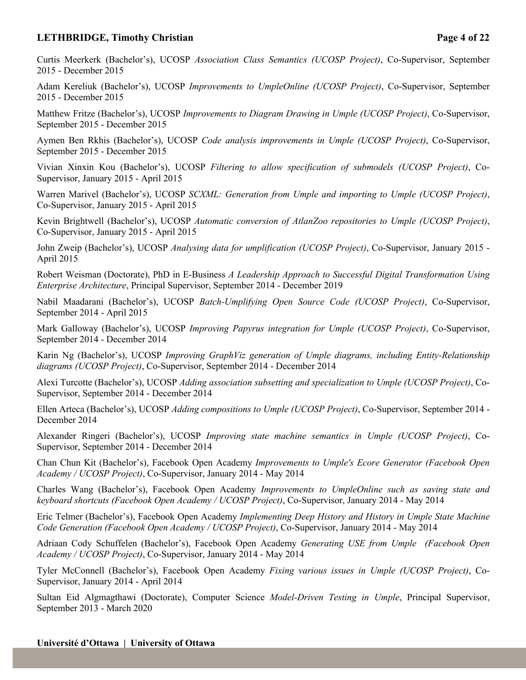# **LETHBRIDGE, Timothy Christian Page 4 of 22**

Curtis Meerkerk (Bachelor's), UCOSP *Association Class Semantics (UCOSP Project)*, Co-Supervisor, September 2015 - December 2015

Adam Kereliuk (Bachelor's), UCOSP *Improvements to UmpleOnline (UCOSP Project)*, Co-Supervisor, September 2015 - December 2015

Matthew Fritze (Bachelor's), UCOSP *Improvements to Diagram Drawing in Umple (UCOSP Project)*, Co-Supervisor, September 2015 - December 2015

Aymen Ben Rkhis (Bachelor's), UCOSP *Code analysis improvements in Umple (UCOSP Project)*, Co-Supervisor, September 2015 - December 2015

Vivian Xinxin Kou (Bachelor's), UCOSP *Filtering to allow specification of submodels (UCOSP Project)*, Co-Supervisor, January 2015 - April 2015

Warren Marivel (Bachelor's), UCOSP *SCXML: Generation from Umple and importing to Umple (UCOSP Project)*, Co-Supervisor, January 2015 - April 2015

Kevin Brightwell (Bachelor's), UCOSP *Automatic conversion of AtlanZoo repositories to Umple (UCOSP Project)*, Co-Supervisor, January 2015 - April 2015

John Zweip (Bachelor's), UCOSP *Analysing data for umplification (UCOSP Project)*, Co-Supervisor, January 2015 - April 2015

Robert Weisman (Doctorate), PhD in E-Business *A Leadership Approach to Successful Digital Transformation Using Enterprise Architecture*, Principal Supervisor, September 2014 - December 2019

Nabil Maadarani (Bachelor's), UCOSP *Batch-Umplifying Open Source Code (UCOSP Project)*, Co-Supervisor, September 2014 - April 2015

Mark Galloway (Bachelor's), UCOSP *Improving Papyrus integration for Umple (UCOSP Project)*, Co-Supervisor, September 2014 - December 2014

Karin Ng (Bachelor's), UCOSP *Improving GraphViz generation of Umple diagrams, including Entity-Relationship diagrams (UCOSP Project)*, Co-Supervisor, September 2014 - December 2014

Alexi Turcotte (Bachelor's), UCOSP *Adding association subsetting and specialization to Umple (UCOSP Project)*, Co-Supervisor, September 2014 - December 2014

Ellen Arteca (Bachelor's), UCOSP *Adding compositions to Umple (UCOSP Project)*, Co-Supervisor, September 2014 - December 2014

Alexander Ringeri (Bachelor's), UCOSP *Improving state machine semantics in Umple (UCOSP Project)*, Co-Supervisor, September 2014 - December 2014

Chan Chun Kit (Bachelor's), Facebook Open Academy *Improvements to Umple's Ecore Generator (Facebook Open Academy / UCOSP Project)*, Co-Supervisor, January 2014 - May 2014

Charles Wang (Bachelor's), Facebook Open Academy *Improvements to UmpleOnline such as saving state and keyboard shortcuts (Facebook Open Academy / UCOSP Project)*, Co-Supervisor, January 2014 - May 2014

Eric Telmer (Bachelor's), Facebook Open Academy *Implementing Deep History and History in Umple State Machine Code Generation (Facebook Open Academy / UCOSP Project)*, Co-Supervisor, January 2014 - May 2014

Adriaan Cody Schuffelen (Bachelor's), Facebook Open Academy *Generating USE from Umple (Facebook Open Academy / UCOSP Project)*, Co-Supervisor, January 2014 - May 2014

Tyler McConnell (Bachelor's), Facebook Open Academy *Fixing various issues in Umple (UCOSP Project)*, Co-Supervisor, January 2014 - April 2014

Sultan Eid Algmagthawi (Doctorate), Computer Science *Model-Driven Testing in Umple*, Principal Supervisor, September 2013 - March 2020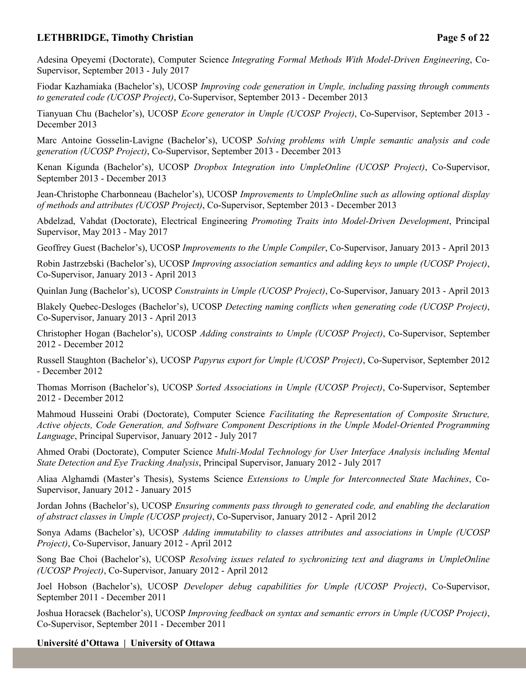# **LETHBRIDGE, Timothy Christian Page 5 of 22**

Adesina Opeyemi (Doctorate), Computer Science *Integrating Formal Methods With Model-Driven Engineering*, Co-Supervisor, September 2013 - July 2017

Fiodar Kazhamiaka (Bachelor's), UCOSP *Improving code generation in Umple, including passing through comments to generated code (UCOSP Project)*, Co-Supervisor, September 2013 - December 2013

Tianyuan Chu (Bachelor's), UCOSP *Ecore generator in Umple (UCOSP Project)*, Co-Supervisor, September 2013 - December 2013

Marc Antoine Gosselin-Lavigne (Bachelor's), UCOSP *Solving problems with Umple semantic analysis and code generation (UCOSP Project)*, Co-Supervisor, September 2013 - December 2013

Kenan Kigunda (Bachelor's), UCOSP *Dropbox Integration into UmpleOnline (UCOSP Project)*, Co-Supervisor, September 2013 - December 2013

Jean-Christophe Charbonneau (Bachelor's), UCOSP *Improvements to UmpleOnline such as allowing optional display of methods and attributes (UCOSP Project)*, Co-Supervisor, September 2013 - December 2013

Abdelzad, Vahdat (Doctorate), Electrical Engineering *Promoting Traits into Model-Driven Development*, Principal Supervisor, May 2013 - May 2017

Geoffrey Guest (Bachelor's), UCOSP *Improvements to the Umple Compiler*, Co-Supervisor, January 2013 - April 2013

Robin Jastrzebski (Bachelor's), UCOSP *Improving association semantics and adding keys to umple (UCOSP Project)*, Co-Supervisor, January 2013 - April 2013

Quinlan Jung (Bachelor's), UCOSP *Constraints in Umple (UCOSP Project)*, Co-Supervisor, January 2013 - April 2013

Blakely Quebec-Desloges (Bachelor's), UCOSP *Detecting naming conflicts when generating code (UCOSP Project)*, Co-Supervisor, January 2013 - April 2013

Christopher Hogan (Bachelor's), UCOSP *Adding constraints to Umple (UCOSP Project)*, Co-Supervisor, September 2012 - December 2012

Russell Staughton (Bachelor's), UCOSP *Papyrus export for Umple (UCOSP Project)*, Co-Supervisor, September 2012 - December 2012

Thomas Morrison (Bachelor's), UCOSP *Sorted Associations in Umple (UCOSP Project)*, Co-Supervisor, September 2012 - December 2012

Mahmoud Husseini Orabi (Doctorate), Computer Science *Facilitating the Representation of Composite Structure, Active objects, Code Generation, and Software Component Descriptions in the Umple Model-Oriented Programming Language*, Principal Supervisor, January 2012 - July 2017

Ahmed Orabi (Doctorate), Computer Science *Multi-Modal Technology for User Interface Analysis including Mental State Detection and Eye Tracking Analysis*, Principal Supervisor, January 2012 - July 2017

Aliaa Alghamdi (Master's Thesis), Systems Science *Extensions to Umple for Interconnected State Machines*, Co-Supervisor, January 2012 - January 2015

Jordan Johns (Bachelor's), UCOSP *Ensuring comments pass through to generated code, and enabling the declaration of abstract classes in Umple (UCOSP project)*, Co-Supervisor, January 2012 - April 2012

Sonya Adams (Bachelor's), UCOSP *Adding immutability to classes attributes and associations in Umple (UCOSP Project)*, Co-Supervisor, January 2012 - April 2012

Song Bae Choi (Bachelor's), UCOSP *Resolving issues related to sychronizing text and diagrams in UmpleOnline (UCOSP Project)*, Co-Supervisor, January 2012 - April 2012

Joel Hobson (Bachelor's), UCOSP *Developer debug capabilities for Umple (UCOSP Project)*, Co-Supervisor, September 2011 - December 2011

Joshua Horacsek (Bachelor's), UCOSP *Improving feedback on syntax and semantic errors in Umple (UCOSP Project)*, Co-Supervisor, September 2011 - December 2011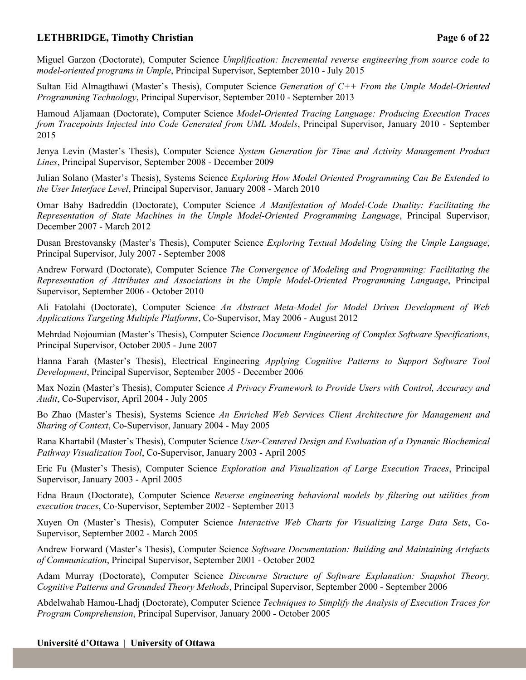# **LETHBRIDGE, Timothy Christian Page 6 of 22**

Miguel Garzon (Doctorate), Computer Science *Umplification: Incremental reverse engineering from source code to model-oriented programs in Umple*, Principal Supervisor, September 2010 - July 2015

Sultan Eid Almagthawi (Master's Thesis), Computer Science *Generation of C++ From the Umple Model-Oriented Programming Technology*, Principal Supervisor, September 2010 - September 2013

Hamoud Aljamaan (Doctorate), Computer Science *Model-Oriented Tracing Language: Producing Execution Traces from Tracepoints Injected into Code Generated from UML Models*, Principal Supervisor, January 2010 - September 2015

Jenya Levin (Master's Thesis), Computer Science *System Generation for Time and Activity Management Product Lines*, Principal Supervisor, September 2008 - December 2009

Julian Solano (Master's Thesis), Systems Science *Exploring How Model Oriented Programming Can Be Extended to the User Interface Level*, Principal Supervisor, January 2008 - March 2010

Omar Bahy Badreddin (Doctorate), Computer Science *A Manifestation of Model-Code Duality: Facilitating the Representation of State Machines in the Umple Model-Oriented Programming Language*, Principal Supervisor, December 2007 - March 2012

Dusan Brestovansky (Master's Thesis), Computer Science *Exploring Textual Modeling Using the Umple Language*, Principal Supervisor, July 2007 - September 2008

Andrew Forward (Doctorate), Computer Science *The Convergence of Modeling and Programming: Facilitating the Representation of Attributes and Associations in the Umple Model-Oriented Programming Language*, Principal Supervisor, September 2006 - October 2010

Ali Fatolahi (Doctorate), Computer Science *An Abstract Meta-Model for Model Driven Development of Web Applications Targeting Multiple Platforms*, Co-Supervisor, May 2006 - August 2012

Mehrdad Nojoumian (Master's Thesis), Computer Science *Document Engineering of Complex Software Specifications*, Principal Supervisor, October 2005 - June 2007

Hanna Farah (Master's Thesis), Electrical Engineering *Applying Cognitive Patterns to Support Software Tool Development*, Principal Supervisor, September 2005 - December 2006

Max Nozin (Master's Thesis), Computer Science *A Privacy Framework to Provide Users with Control, Accuracy and Audit*, Co-Supervisor, April 2004 - July 2005

Bo Zhao (Master's Thesis), Systems Science *An Enriched Web Services Client Architecture for Management and Sharing of Context*, Co-Supervisor, January 2004 - May 2005

Rana Khartabil (Master's Thesis), Computer Science *User-Centered Design and Evaluation of a Dynamic Biochemical Pathway Visualization Tool*, Co-Supervisor, January 2003 - April 2005

Eric Fu (Master's Thesis), Computer Science *Exploration and Visualization of Large Execution Traces*, Principal Supervisor, January 2003 - April 2005

Edna Braun (Doctorate), Computer Science *Reverse engineering behavioral models by filtering out utilities from execution traces*, Co-Supervisor, September 2002 - September 2013

Xuyen On (Master's Thesis), Computer Science *Interactive Web Charts for Visualizing Large Data Sets*, Co-Supervisor, September 2002 - March 2005

Andrew Forward (Master's Thesis), Computer Science *Software Documentation: Building and Maintaining Artefacts of Communication*, Principal Supervisor, September 2001 - October 2002

Adam Murray (Doctorate), Computer Science *Discourse Structure of Software Explanation: Snapshot Theory, Cognitive Patterns and Grounded Theory Methods*, Principal Supervisor, September 2000 - September 2006

Abdelwahab Hamou-Lhadj (Doctorate), Computer Science *Techniques to Simplify the Analysis of Execution Traces for Program Comprehension*, Principal Supervisor, January 2000 - October 2005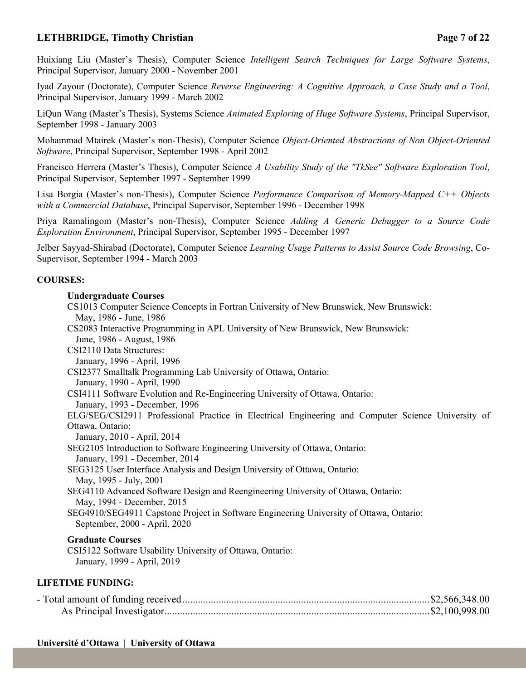# **LETHBRIDGE, Timothy Christian Page 7 of 22**

Huixiang Liu (Master's Thesis), Computer Science *Intelligent Search Techniques for Large Software Systems*, Principal Supervisor, January 2000 - November 2001

Iyad Zayour (Doctorate), Computer Science *Reverse Engineering: A Cognitive Approach, a Case Study and a Tool*, Principal Supervisor, January 1999 - March 2002

LiQun Wang (Master's Thesis), Systems Science *Animated Exploring of Huge Software Systems*, Principal Supervisor, September 1998 - January 2003

Mohammad Mtairek (Master's non-Thesis), Computer Science *Object-Oriented Abstractions of Non Object-Oriented Software*, Principal Supervisor, September 1998 - April 2002

Francisco Herrera (Master's Thesis), Computer Science *A Usability Study of the "TkSee" Software Exploration Tool*, Principal Supervisor, September 1997 - September 1999

Lisa Borgia (Master's non-Thesis), Computer Science *Performance Comparison of Memory-Mapped C++ Objects with a Commercial Database*, Principal Supervisor, September 1996 - December 1998

Priya Ramalingom (Master's non-Thesis), Computer Science *Adding A Generic Debugger to a Source Code Exploration Environment*, Principal Supervisor, September 1995 - December 1997

Jelber Sayyad-Shirabad (Doctorate), Computer Science *Learning Usage Patterns to Assist Source Code Browsing*, Co-Supervisor, September 1994 - March 2003

#### **COURSES:**

#### **Undergraduate Courses**

| CS1013 Computer Science Concepts in Fortran University of New Brunswick, New Brunswick:            |
|----------------------------------------------------------------------------------------------------|
| May, 1986 - June, 1986                                                                             |
| CS2083 Interactive Programming in APL University of New Brunswick, New Brunswick:                  |
| June, 1986 - August, 1986                                                                          |
| CSI2110 Data Structures:                                                                           |
| January, 1996 - April, 1996                                                                        |
| CSI2377 Smalltalk Programming Lab University of Ottawa, Ontario:                                   |
| January, 1990 - April, 1990                                                                        |
| CSI4111 Software Evolution and Re-Engineering University of Ottawa, Ontario:                       |
| January, 1993 - December, 1996                                                                     |
| ELG/SEG/CSI2911 Professional Practice in Electrical Engineering and Computer Science University of |
| Ottawa, Ontario:                                                                                   |
| January, 2010 - April, 2014                                                                        |
| SEG2105 Introduction to Software Engineering University of Ottawa, Ontario:                        |
| January, 1991 - December, 2014                                                                     |
| SEG3125 User Interface Analysis and Design University of Ottawa, Ontario:                          |
| May, 1995 - July, 2001                                                                             |
| SEG4110 Advanced Software Design and Reengineering University of Ottawa, Ontario:                  |
| May, 1994 - December, 2015                                                                         |
| SEG4910/SEG4911 Capstone Project in Software Engineering University of Ottawa, Ontario:            |
| September, 2000 - April, 2020                                                                      |
| <b>Graduate Courses</b>                                                                            |
| CSI5122 Software Usability University of Ottawa, Ontario:                                          |
| January, 1999 - April, 2019                                                                        |

#### **LIFETIME FUNDING:**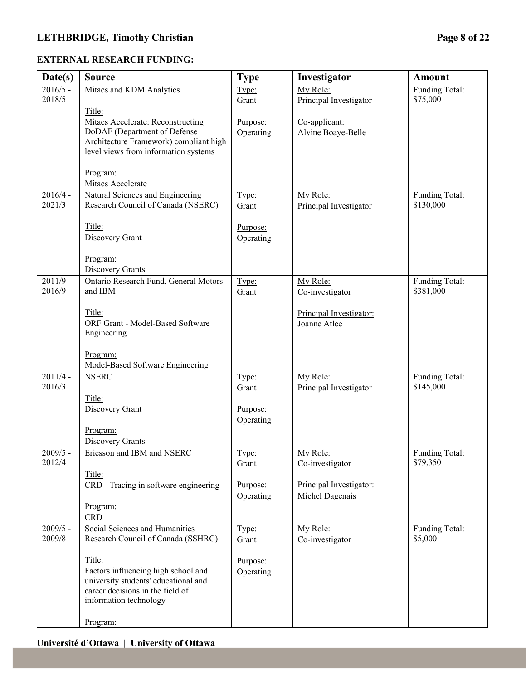# **LETHBRIDGE, Timothy Christian Page 8 of 22**

### **EXTERNAL RESEARCH FUNDING:**

| Date(s)              | <b>Source</b>                                                                                                                                       | <b>Type</b>           | Investigator                               | <b>Amount</b>               |
|----------------------|-----------------------------------------------------------------------------------------------------------------------------------------------------|-----------------------|--------------------------------------------|-----------------------------|
| $2016/5 -$           | Mitacs and KDM Analytics                                                                                                                            | Type:                 | My Role:                                   | Funding Total:              |
| 2018/5               | Title:                                                                                                                                              | Grant                 | Principal Investigator                     | \$75,000                    |
|                      | Mitacs Accelerate: Reconstructing<br>DoDAF (Department of Defense<br>Architecture Framework) compliant high<br>level views from information systems | Purpose:<br>Operating | Co-applicant:<br>Alvine Boaye-Belle        |                             |
|                      | Program:<br>Mitacs Accelerate                                                                                                                       |                       |                                            |                             |
| $2016/4 -$<br>2021/3 | Natural Sciences and Engineering<br>Research Council of Canada (NSERC)                                                                              | Type:<br>Grant        | My Role:<br>Principal Investigator         | Funding Total:<br>\$130,000 |
|                      | Title:<br>Discovery Grant                                                                                                                           | Purpose:<br>Operating |                                            |                             |
|                      | Program:<br>Discovery Grants                                                                                                                        |                       |                                            |                             |
| $2011/9 -$<br>2016/9 | Ontario Research Fund, General Motors<br>and IBM                                                                                                    | Type:<br>Grant        | My Role:<br>Co-investigator                | Funding Total:<br>\$381,000 |
|                      | Title:<br>ORF Grant - Model-Based Software<br>Engineering                                                                                           |                       | Principal Investigator:<br>Joanne Atlee    |                             |
| $2011/4 -$<br>2016/3 | Program:<br>Model-Based Software Engineering<br><b>NSERC</b>                                                                                        | Type:<br>Grant        | My Role:<br>Principal Investigator         | Funding Total:<br>\$145,000 |
|                      | Title:<br>Discovery Grant                                                                                                                           | Purpose:<br>Operating |                                            |                             |
|                      | Program:<br>Discovery Grants                                                                                                                        |                       |                                            |                             |
| $2009/5 -$<br>2012/4 | Ericsson and IBM and NSERC                                                                                                                          | Type:<br>Grant        | My Role:<br>Co-investigator                | Funding Total:<br>\$79,350  |
|                      | Title:<br>CRD - Tracing in software engineering                                                                                                     | Purpose:<br>Operating | Principal Investigator:<br>Michel Dagenais |                             |
|                      | Program:<br><b>CRD</b>                                                                                                                              |                       |                                            |                             |
| $2009/5 -$<br>2009/8 | Social Sciences and Humanities<br>Research Council of Canada (SSHRC)                                                                                | Type:<br>Grant        | My Role:<br>Co-investigator                | Funding Total:<br>\$5,000   |
|                      | Title:<br>Factors influencing high school and<br>university students' educational and<br>career decisions in the field of<br>information technology | Purpose:<br>Operating |                                            |                             |
|                      | Program:                                                                                                                                            |                       |                                            |                             |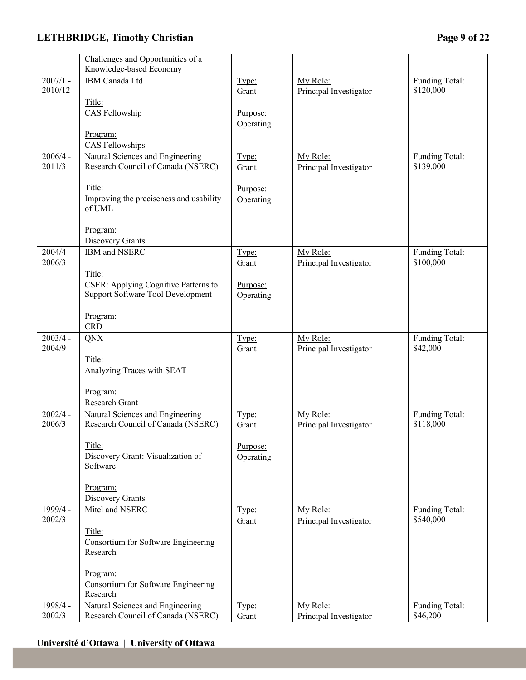# **LETHBRIDGE, Timothy Christian Page 9 of 22**

|                       | Challenges and Opportunities of a                                      |                |                        |                             |
|-----------------------|------------------------------------------------------------------------|----------------|------------------------|-----------------------------|
|                       | Knowledge-based Economy                                                |                |                        |                             |
| $2007/1 -$<br>2010/12 | IBM Canada Ltd                                                         | Type:          | My Role:               | Funding Total:<br>\$120,000 |
|                       |                                                                        | Grant          | Principal Investigator |                             |
|                       | Title:                                                                 |                |                        |                             |
|                       | CAS Fellowship                                                         | Purpose:       |                        |                             |
|                       |                                                                        | Operating      |                        |                             |
|                       | Program:                                                               |                |                        |                             |
| $2006/4 -$            | CAS Fellowships                                                        |                |                        |                             |
| 2011/3                | Natural Sciences and Engineering<br>Research Council of Canada (NSERC) | Type:<br>Grant | My Role:               | Funding Total:<br>\$139,000 |
|                       |                                                                        |                | Principal Investigator |                             |
|                       | Title:                                                                 | Purpose:       |                        |                             |
|                       | Improving the preciseness and usability                                | Operating      |                        |                             |
|                       | of UML                                                                 |                |                        |                             |
|                       |                                                                        |                |                        |                             |
|                       | Program:                                                               |                |                        |                             |
|                       | Discovery Grants                                                       |                |                        |                             |
| $2004/4 -$            | IBM and NSERC                                                          | Type:          | My Role:               | Funding Total:              |
| 2006/3                |                                                                        | Grant          | Principal Investigator | \$100,000                   |
|                       | Title:                                                                 |                |                        |                             |
|                       | CSER: Applying Cognitive Patterns to                                   | Purpose:       |                        |                             |
|                       | <b>Support Software Tool Development</b>                               | Operating      |                        |                             |
|                       |                                                                        |                |                        |                             |
|                       | Program:                                                               |                |                        |                             |
|                       | <b>CRD</b>                                                             |                |                        |                             |
| $2003/4 -$            | QNX                                                                    | Type:          | My Role:               | Funding Total:              |
| 2004/9                |                                                                        | Grant          | Principal Investigator | \$42,000                    |
|                       | Title:                                                                 |                |                        |                             |
|                       | Analyzing Traces with SEAT                                             |                |                        |                             |
|                       | Program:                                                               |                |                        |                             |
|                       | Research Grant                                                         |                |                        |                             |
| $2002/4 -$            | Natural Sciences and Engineering                                       | Type:          | My Role:               | Funding Total:              |
| 2006/3                | Research Council of Canada (NSERC)                                     | Grant          | Principal Investigator | \$118,000                   |
|                       |                                                                        |                |                        |                             |
|                       | Title:                                                                 | Purpose:       |                        |                             |
|                       | Discovery Grant: Visualization of                                      | Operating      |                        |                             |
|                       | Software                                                               |                |                        |                             |
|                       |                                                                        |                |                        |                             |
|                       | Program:                                                               |                |                        |                             |
|                       | Discovery Grants                                                       |                |                        |                             |
| 1999/4 -              | Mitel and NSERC                                                        | Type:          | My Role:               | Funding Total:              |
| 2002/3                |                                                                        | Grant          | Principal Investigator | \$540,000                   |
|                       | Title:                                                                 |                |                        |                             |
|                       | Consortium for Software Engineering                                    |                |                        |                             |
|                       | Research                                                               |                |                        |                             |
|                       | Program:                                                               |                |                        |                             |
|                       | Consortium for Software Engineering                                    |                |                        |                             |
|                       | Research                                                               |                |                        |                             |
| 1998/4 -              | Natural Sciences and Engineering                                       | Type:          | My Role:               | Funding Total:              |
| 2002/3                | Research Council of Canada (NSERC)                                     | Grant          | Principal Investigator | \$46,200                    |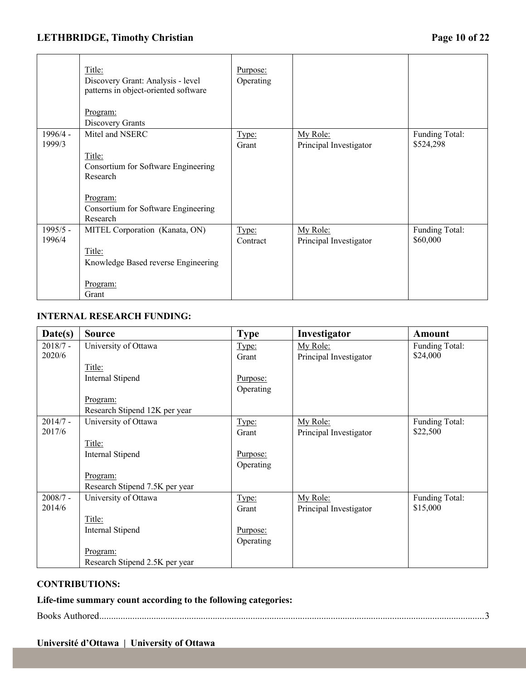# **LETHBRIDGE, Timothy Christian Page 10 of 22**

|                      | Title:<br>Discovery Grant: Analysis - level<br>patterns in object-oriented software<br><u>Program:</u><br>Discovery Grants                  | Purpose:<br>Operating |                                    |                             |
|----------------------|---------------------------------------------------------------------------------------------------------------------------------------------|-----------------------|------------------------------------|-----------------------------|
| $1996/4 -$<br>1999/3 | Mitel and NSERC<br>Title:<br>Consortium for Software Engineering<br>Research<br>Program:<br>Consortium for Software Engineering<br>Research | Type:<br>Grant        | My Role:<br>Principal Investigator | Funding Total:<br>\$524,298 |
| 1995/5 -<br>1996/4   | MITEL Corporation (Kanata, ON)<br>Title:<br>Knowledge Based reverse Engineering<br><u>Program:</u><br>Grant                                 | Type:<br>Contract     | My Role:<br>Principal Investigator | Funding Total:<br>\$60,000  |

## **INTERNAL RESEARCH FUNDING:**

| Date(s)    | <b>Source</b>                  | <b>Type</b> | Investigator           | Amount         |
|------------|--------------------------------|-------------|------------------------|----------------|
| $2018/7 -$ | University of Ottawa           | Type:       | My Role:               | Funding Total: |
| 2020/6     |                                | Grant       | Principal Investigator | \$24,000       |
|            | Title:                         |             |                        |                |
|            | Internal Stipend               | Purpose:    |                        |                |
|            |                                | Operating   |                        |                |
|            | <u>Program:</u>                |             |                        |                |
|            | Research Stipend 12K per year  |             |                        |                |
| $2014/7 -$ | University of Ottawa           | Type:       | My Role:               | Funding Total: |
| 2017/6     |                                | Grant       | Principal Investigator | \$22,500       |
|            | Title:                         |             |                        |                |
|            | Internal Stipend               | Purpose:    |                        |                |
|            |                                | Operating   |                        |                |
|            | Program:                       |             |                        |                |
|            | Research Stipend 7.5K per year |             |                        |                |
| $2008/7 -$ | University of Ottawa           | Type:       | My Role:               | Funding Total: |
| 2014/6     |                                | Grant       | Principal Investigator | \$15,000       |
|            | Title:                         |             |                        |                |
|            | Internal Stipend               | Purpose:    |                        |                |
|            |                                | Operating   |                        |                |
|            | <u>Program:</u>                |             |                        |                |
|            | Research Stipend 2.5K per year |             |                        |                |

### **CONTRIBUTIONS:**

**Life-time summary count according to the following categories:** 

Books Authored...................................................................................................................................................................3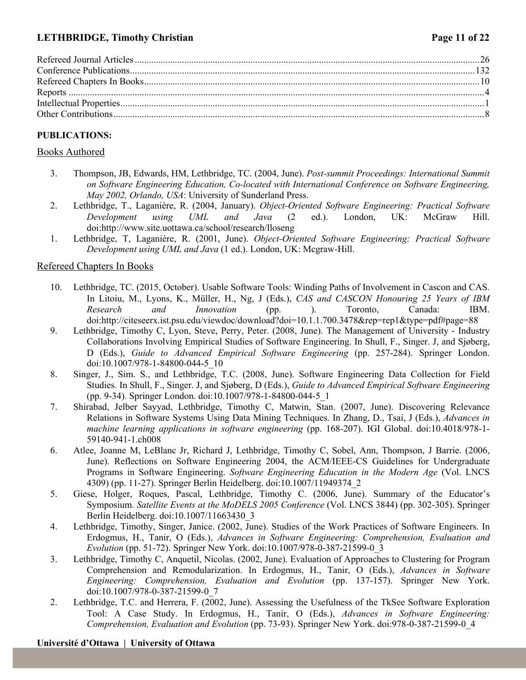# **LETHBRIDGE, Timothy Christian Page 11 of 22**

# **PUBLICATIONS:**

### Books Authored

- 3. Thompson, JB, Edwards, HM, Lethbridge, TC. (2004, June). *Post-summit Proceedings: International Summit on Software Engineering Education, Co-located with International Conference on Software Engineering, May 2002, Orlando, USA*: University of Sunderland Press.
- 2. Lethbridge, T., Laganière, R. (2004, January). *Object-Oriented Software Engineering: Practical Software Development using UML and Java* (2 ed.). London, UK: McGraw Hill. doi:http://www.site.uottawa.ca/school/research/lloseng
- 1. Lethbridge, T, Laganière, R. (2001, June). *Object-Oriented Software Engineering: Practical Software Development using UML and Java* (1 ed.). London, UK: Mcgraw-Hill.

### Refereed Chapters In Books

- 10. Lethbridge, TC. (2015, October). Usable Software Tools: Winding Paths of Involvement in Cascon and CAS. In Litoiu, M., Lyons, K., Müller, H., Ng, J (Eds.), *CAS and CASCON Honouring 25 Years of IBM Research and Innovation* (pp. ). Toronto, Canada: IBM. doi:http://citeseerx.ist.psu.edu/viewdoc/download?doi=10.1.1.700.3478&rep=rep1&type=pdf#page=88
- 9. Lethbridge, Timothy C, Lyon, Steve, Perry, Peter. (2008, June). The Management of University Industry Collaborations Involving Empirical Studies of Software Engineering. In Shull, F., Singer. J, and Sjøberg, D (Eds.), *Guide to Advanced Empirical Software Engineering* (pp. 257-284). Springer London. doi:10.1007/978-1-84800-044-5\_10
- 8. Singer, J., Sim. S., and Lethbridge, T.C. (2008, June). Software Engineering Data Collection for Field Studies. In Shull, F., Singer. J, and Sjøberg, D (Eds.), *Guide to Advanced Empirical Software Engineering* (pp. 9-34). Springer London. doi:10.1007/978-1-84800-044-5\_1
- 7. Shirabad, Jelber Sayyad, Lethbridge, Timothy C, Matwin, Stan. (2007, June). Discovering Relevance Relations in Software Systems Using Data Mining Techniques. In Zhang, D., Tsai, J (Eds.), *Advances in machine learning applications in software engineering* (pp. 168-207). IGI Global. doi:10.4018/978-1- 59140-941-1.ch008
- 6. Atlee, Joanne M, LeBlanc Jr, Richard J, Lethbridge, Timothy C, Sobel, Ann, Thompson, J Barrie. (2006, June). Reflections on Software Engineering 2004, the ACM/IEEE-CS Guidelines for Undergraduate Programs in Software Engineering. *Software Engineering Education in the Modern Age* (Vol. LNCS 4309) (pp. 11-27). Springer Berlin Heidelberg. doi:10.1007/11949374\_2
- 5. Giese, Holger, Roques, Pascal, Lethbridge, Timothy C. (2006, June). Summary of the Educator's Symposium. *Satellite Events at the MoDELS 2005 Conference* (Vol. LNCS 3844) (pp. 302-305). Springer Berlin Heidelberg. doi:10.1007/11663430\_3
- 4. Lethbridge, Timothy, Singer, Janice. (2002, June). Studies of the Work Practices of Software Engineers. In Erdogmus, H., Tanir, O (Eds.), *Advances in Software Engineering: Comprehension, Evaluation and Evolution* (pp. 51-72). Springer New York. doi:10.1007/978-0-387-21599-0\_3
- 3. Lethbridge, Timothy C, Anquetil, Nicolas. (2002, June). Evaluation of Approaches to Clustering for Program Comprehension and Remodularization. In Erdogmus, H., Tanir, O (Eds.), *Advances in Software Engineering: Comprehension, Evaluation and Evolution* (pp. 137-157). Springer New York. doi:10.1007/978-0-387-21599-0\_7
- 2. Lethbridge, T.C. and Herrera, F. (2002, June). Assessing the Usefulness of the TkSee Software Exploration Tool: A Case Study. In Erdogmus, H., Tanir, O (Eds.), *Advances in Software Engineering: Comprehension, Evaluation and Evolution* (pp. 73-93). Springer New York. doi:978-0-387-21599-0\_4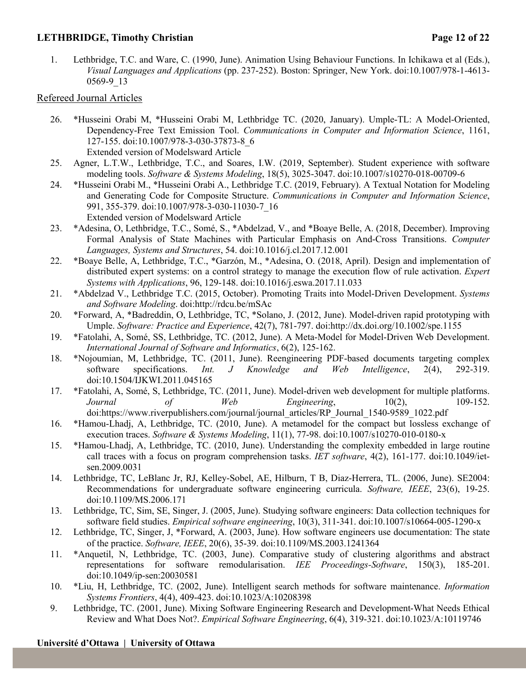### **LETHBRIDGE, Timothy Christian Page 12 of 22**

1. Lethbridge, T.C. and Ware, C. (1990, June). Animation Using Behaviour Functions. In Ichikawa et al (Eds.), *Visual Languages and Applications* (pp. 237-252). Boston: Springer, New York. doi:10.1007/978-1-4613- 0569-9\_13

## Refereed Journal Articles

- 26. \*Husseini Orabi M, \*Husseini Orabi M, Lethbridge TC. (2020, January). Umple-TL: A Model-Oriented, Dependency-Free Text Emission Tool. *Communications in Computer and Information Science*, 1161, 127-155. doi:10.1007/978-3-030-37873-8\_6 Extended version of Modelsward Article
- 25. Agner, L.T.W., Lethbridge, T.C., and Soares, I.W. (2019, September). Student experience with software modeling tools. *Software & Systems Modeling*, 18(5), 3025-3047. doi:10.1007/s10270-018-00709-6
- 24. \*Husseini Orabi M., \*Husseini Orabi A., Lethbridge T.C. (2019, February). A Textual Notation for Modeling and Generating Code for Composite Structure. *Communications in Computer and Information Science*, 991, 355-379. doi:10.1007/978-3-030-11030-7\_16 Extended version of Modelsward Article
- 23. \*Adesina, O, Lethbridge, T.C., Somé, S., \*Abdelzad, V., and \*Boaye Belle, A. (2018, December). Improving Formal Analysis of State Machines with Particular Emphasis on And-Cross Transitions. *Computer Languages, Systems and Structures*, 54. doi:10.1016/j.cl.2017.12.001
- 22. \*Boaye Belle, A, Lethbridge, T.C., \*Garzón, M., \*Adesina, O. (2018, April). Design and implementation of distributed expert systems: on a control strategy to manage the execution flow of rule activation. *Expert Systems with Applications*, 96, 129-148. doi:10.1016/j.eswa.2017.11.033
- 21. \*Abdelzad V., Lethbridge T.C. (2015, October). Promoting Traits into Model-Driven Development. *Systems and Software Modeling*. doi:http://rdcu.be/mSAc
- 20. \*Forward, A, \*Badreddin, O, Lethbridge, TC, \*Solano, J. (2012, June). Model-driven rapid prototyping with Umple. *Software: Practice and Experience*, 42(7), 781-797. doi:http://dx.doi.org/10.1002/spe.1155
- 19. \*Fatolahi, A, Somé, SS, Lethbridge, TC. (2012, June). A Meta-Model for Model-Driven Web Development. *International Journal of Software and Informatics*, 6(2), 125-162.
- 18. \*Nojoumian, M, Lethbridge, TC. (2011, June). Reengineering PDF-based documents targeting complex software specifications. *Int. J Knowledge and Web Intelligence*, 2(4), 292-319. doi:10.1504/IJKWI.2011.045165
- 17. \*Fatolahi, A, Somé, S, Lethbridge, TC. (2011, June). Model-driven web development for multiple platforms. *Journal* of *Web Engineering*, 10(2), 109-152. doi:https://www.riverpublishers.com/journal/journal\_articles/RP\_Journal\_1540-9589\_1022.pdf
- 16. \*Hamou-Lhadj, A, Lethbridge, TC. (2010, June). A metamodel for the compact but lossless exchange of execution traces. *Software & Systems Modeling*, 11(1), 77-98. doi:10.1007/s10270-010-0180-x
- 15. \*Hamou-Lhadj, A, Lethbridge, TC. (2010, June). Understanding the complexity embedded in large routine call traces with a focus on program comprehension tasks. *IET software*, 4(2), 161-177. doi:10.1049/ietsen.2009.0031
- 14. Lethbridge, TC, LeBlanc Jr, RJ, Kelley-Sobel, AE, Hilburn, T B, Diaz-Herrera, TL. (2006, June). SE2004: Recommendations for undergraduate software engineering curricula. *Software, IEEE*, 23(6), 19-25. doi:10.1109/MS.2006.171
- 13. Lethbridge, TC, Sim, SE, Singer, J. (2005, June). Studying software engineers: Data collection techniques for software field studies. *Empirical software engineering*, 10(3), 311-341. doi:10.1007/s10664-005-1290-x
- 12. Lethbridge, TC, Singer, J, \*Forward, A. (2003, June). How software engineers use documentation: The state of the practice. *Software, IEEE*, 20(6), 35-39. doi:10.1109/MS.2003.1241364
- 11. \*Anquetil, N, Lethbridge, TC. (2003, June). Comparative study of clustering algorithms and abstract representations for software remodularisation. *IEE Proceedings-Software*, 150(3), 185-201. doi:10.1049/ip-sen:20030581
- 10. \*Liu, H, Lethbridge, TC. (2002, June). Intelligent search methods for software maintenance. *Information Systems Frontiers*, 4(4), 409-423. doi:10.1023/A:10208398
- 9. Lethbridge, TC. (2001, June). Mixing Software Engineering Research and Development-What Needs Ethical Review and What Does Not?. *Empirical Software Engineering*, 6(4), 319-321. doi:10.1023/A:10119746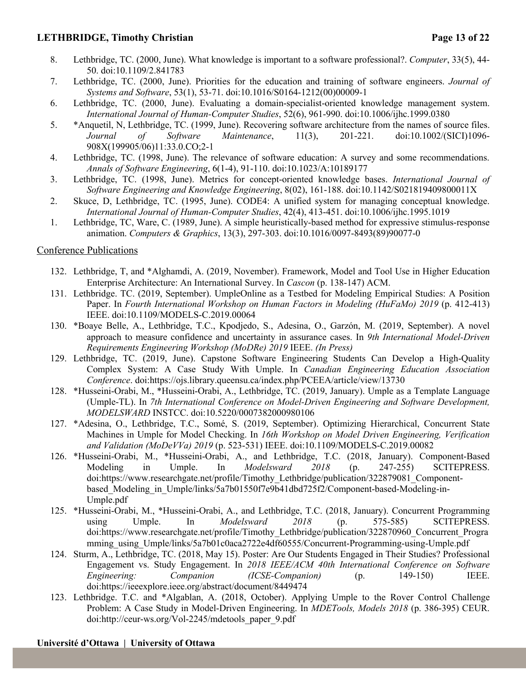## **LETHBRIDGE, Timothy Christian Page 13 of 22**

- 8. Lethbridge, TC. (2000, June). What knowledge is important to a software professional?. *Computer*, 33(5), 44- 50. doi:10.1109/2.841783
- 7. Lethbridge, TC. (2000, June). Priorities for the education and training of software engineers. *Journal of Systems and Software*, 53(1), 53-71. doi:10.1016/S0164-1212(00)00009-1
- 6. Lethbridge, TC. (2000, June). Evaluating a domain-specialist-oriented knowledge management system. *International Journal of Human-Computer Studies*, 52(6), 961-990. doi:10.1006/ijhc.1999.0380
- 5. \*Anquetil, N, Lethbridge, TC. (1999, June). Recovering software architecture from the names of source files. *Journal of Software Maintenance*, 11(3), 201-221. doi:10.1002/(SICI)1096- 908X(199905/06)11:33.0.CO;2-1
- 4. Lethbridge, TC. (1998, June). The relevance of software education: A survey and some recommendations. *Annals of Software Engineering*, 6(1-4), 91-110. doi:10.1023/A:10189177
- 3. Lethbridge, TC. (1998, June). Metrics for concept-oriented knowledge bases. *International Journal of Software Engineering and Knowledge Engineering*, 8(02), 161-188. doi:10.1142/S021819409800011X
- 2. Skuce, D, Lethbridge, TC. (1995, June). CODE4: A unified system for managing conceptual knowledge. *International Journal of Human-Computer Studies*, 42(4), 413-451. doi:10.1006/ijhc.1995.1019
- 1. Lethbridge, TC, Ware, C. (1989, June). A simple heuristically-based method for expressive stimulus-response animation. *Computers & Graphics*, 13(3), 297-303. doi:10.1016/0097-8493(89)90077-0

### Conference Publications

- 132. Lethbridge, T, and \*Alghamdi, A. (2019, November). Framework, Model and Tool Use in Higher Education Enterprise Architecture: An International Survey. In *Cascon* (p. 138-147) ACM.
- 131. Lethbridge. TC. (2019, September). UmpleOnline as a Testbed for Modeling Empirical Studies: A Position Paper. In *Fourth International Workshop on Human Factors in Modeling (HuFaMo) 2019* (p. 412-413) IEEE. doi:10.1109/MODELS-C.2019.00064
- 130. \*Boaye Belle, A., Lethbridge, T.C., Kpodjedo, S., Adesina, O., Garzón, M. (2019, September). A novel approach to measure confidence and uncertainty in assurance cases. In *9th International Model-Driven Requirements Engineering Workshop (MoDRe) 2019* IEEE. *(In Press)*
- 129. Lethbridge, TC. (2019, June). Capstone Software Engineering Students Can Develop a High-Quality Complex System: A Case Study With Umple. In *Canadian Engineering Education Association Conference*. doi:https://ojs.library.queensu.ca/index.php/PCEEA/article/view/13730
- 128. \*Husseini-Orabi, M., \*Husseini-Orabi, A., Lethbridge, TC. (2019, January). Umple as a Template Language (Umple-TL). In *7th International Conference on Model-Driven Engineering and Software Development, MODELSWARD* INSTCC. doi:10.5220/0007382000980106
- 127. \*Adesina, O., Lethbridge, T.C., Somé, S. (2019, September). Optimizing Hierarchical, Concurrent State Machines in Umple for Model Checking. In *16th Workshop on Model Driven Engineering, Verification and Validation (MoDeVVa) 2019* (p. 523-531) IEEE. doi:10.1109/MODELS-C.2019.00082
- 126. \*Husseini-Orabi, M., \*Husseini-Orabi, A., and Lethbridge, T.C. (2018, January). Component-Based Modeling in Umple. In *Modelsward 2018* (p. 247-255) SCITEPRESS. doi:https://www.researchgate.net/profile/Timothy\_Lethbridge/publication/322879081\_Componentbased Modeling in Umple/links/5a7b01550f7e9b41dbd725f2/Component-based-Modeling-in-Umple.pdf
- 125. \*Husseini-Orabi, M., \*Husseini-Orabi, A., and Lethbridge, T.C. (2018, January). Concurrent Programming using Umple. In *Modelsward 2018* (p. 575-585) SCITEPRESS. doi:https://www.researchgate.net/profile/Timothy\_Lethbridge/publication/322870960\_Concurrent\_Progra mming\_using\_Umple/links/5a7b01c0aca2722e4df60555/Concurrent-Programming-using-Umple.pdf
- 124. Sturm, A., Lethbridge, TC. (2018, May 15). Poster: Are Our Students Engaged in Their Studies? Professional Engagement vs. Study Engagement. In *2018 IEEE/ACM 40th International Conference on Software Engineering: Companion (ICSE-Companion)* (p. 149-150) IEEE. doi:https://ieeexplore.ieee.org/abstract/document/8449474
- 123. Lethbridge. T.C. and \*Algablan, A. (2018, October). Applying Umple to the Rover Control Challenge Problem: A Case Study in Model-Driven Engineering. In *MDETools, Models 2018* (p. 386-395) CEUR. doi:http://ceur-ws.org/Vol-2245/mdetools\_paper\_9.pdf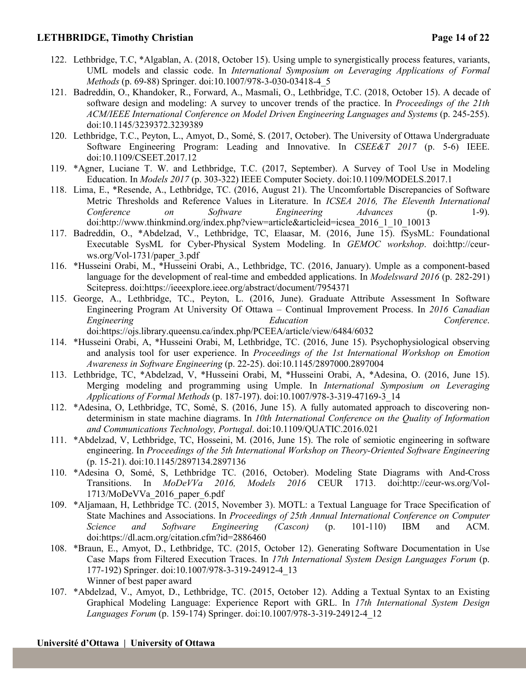### **LETHBRIDGE, Timothy Christian Page 14 of 22**

- 122. Lethbridge, T.C, \*Algablan, A. (2018, October 15). Using umple to synergistically process features, variants, UML models and classic code. In *International Symposium on Leveraging Applications of Formal Methods* (p. 69-88) Springer. doi:10.1007/978-3-030-03418-4\_5
- 121. Badreddin, O., Khandoker, R., Forward, A., Masmali, O., Lethbridge, T.C. (2018, October 15). A decade of software design and modeling: A survey to uncover trends of the practice. In *Proceedings of the 21th ACM/IEEE International Conference on Model Driven Engineering Languages and Systems* (p. 245-255). doi:10.1145/3239372.3239389
- 120. Lethbridge, T.C., Peyton, L., Amyot, D., Somé, S. (2017, October). The University of Ottawa Undergraduate Software Engineering Program: Leading and Innovative. In *CSEE&T 2017* (p. 5-6) IEEE. doi:10.1109/CSEET.2017.12
- 119. \*Agner, Luciane T. W. and Lethbridge, T.C. (2017, September). A Survey of Tool Use in Modeling Education. In *Models 2017* (p. 303-322) IEEE Computer Society. doi:10.1109/MODELS.2017.1
- 118. Lima, E., \*Resende, A., Lethbridge, TC. (2016, August 21). The Uncomfortable Discrepancies of Software Metric Thresholds and Reference Values in Literature. In *ICSEA 2016, The Eleventh International Conference on Software Engineering Advances* (p. 1-9). doi:http://www.thinkmind.org/index.php?view=article&articleid=icsea\_2016\_1\_10\_10013
- 117. Badreddin, O., \*Abdelzad, V., Lethbridge, TC, Elaasar, M. (2016, June 15). fSysML: Foundational Executable SysML for Cyber-Physical System Modeling. In *GEMOC workshop*. doi:http://ceurws.org/Vol-1731/paper\_3.pdf
- 116. \*Husseini Orabi, M., \*Husseini Orabi, A., Lethbridge, TC. (2016, January). Umple as a component-based language for the development of real-time and embedded applications. In *Modelsward 2016* (p. 282-291) Scitepress. doi:https://ieeexplore.ieee.org/abstract/document/7954371
- 115. George, A., Lethbridge, TC., Peyton, L. (2016, June). Graduate Attribute Assessment In Software Engineering Program At University Of Ottawa – Continual Improvement Process. In *2016 Canadian Engineering Education Conference*. doi:https://ojs.library.queensu.ca/index.php/PCEEA/article/view/6484/6032
- 114. \*Husseini Orabi, A, \*Husseini Orabi, M, Lethbridge, TC. (2016, June 15). Psychophysiological observing and analysis tool for user experience. In *Proceedings of the 1st International Workshop on Emotion Awareness in Software Engineering* (p. 22-25). doi:10.1145/2897000.2897004
- 113. Lethbridge, TC, \*Abdelzad, V, \*Husseini Orabi, M, \*Husseini Orabi, A, \*Adesina, O. (2016, June 15). Merging modeling and programming using Umple. In *International Symposium on Leveraging Applications of Formal Methods* (p. 187-197). doi:10.1007/978-3-319-47169-3\_14
- 112. \*Adesina, O, Lethbridge, TC, Somé, S. (2016, June 15). A fully automated approach to discovering nondeterminism in state machine diagrams. In *10th International Conference on the Quality of Information and Communications Technology, Portugal*. doi:10.1109/QUATIC.2016.021
- 111. \*Abdelzad, V, Lethbridge, TC, Hosseini, M. (2016, June 15). The role of semiotic engineering in software engineering. In *Proceedings of the 5th International Workshop on Theory-Oriented Software Engineering* (p. 15-21). doi:10.1145/2897134.2897136
- 110. \*Adesina O, Somé, S, Lethbridge TC. (2016, October). Modeling State Diagrams with And-Cross Transitions. In *MoDeVVa 2016, Models 2016* CEUR 1713. doi:http://ceur-ws.org/Vol-1713/MoDeVVa\_2016\_paper\_6.pdf
- 109. \*Aljamaan, H, Lethbridge TC. (2015, November 3). MOTL: a Textual Language for Trace Specification of State Machines and Associations. In *Proceedings of 25th Annual International Conference on Computer Science and Software Engineering (Cascon)* (p. 101-110) IBM and ACM. doi:https://dl.acm.org/citation.cfm?id=2886460
- 108. \*Braun, E., Amyot, D., Lethbridge, TC. (2015, October 12). Generating Software Documentation in Use Case Maps from Filtered Execution Traces. In *17th International System Design Languages Forum* (p. 177-192) Springer. doi:10.1007/978-3-319-24912-4\_13 Winner of best paper award
- 107. \*Abdelzad, V., Amyot, D., Lethbridge, TC. (2015, October 12). Adding a Textual Syntax to an Existing Graphical Modeling Language: Experience Report with GRL. In *17th International System Design Languages Forum* (p. 159-174) Springer. doi:10.1007/978-3-319-24912-4\_12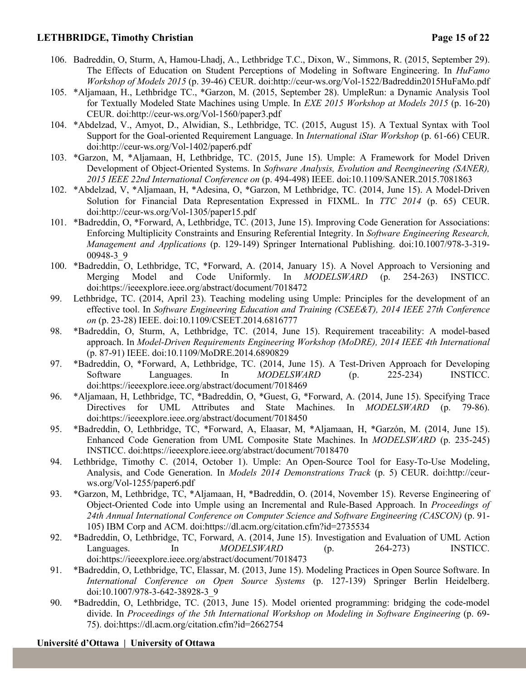## **LETHBRIDGE, Timothy Christian Page 15 of 22**

- 106. Badreddin, O, Sturm, A, Hamou-Lhadj, A., Lethbridge T.C., Dixon, W., Simmons, R. (2015, September 29). The Effects of Education on Student Perceptions of Modeling in Software Engineering. In *HuFamo Workshop of Models 2015* (p. 39-46) CEUR. doi:http://ceur-ws.org/Vol-1522/Badreddin2015HuFaMo.pdf
- 105. \*Aljamaan, H., Lethbridge TC., \*Garzon, M. (2015, September 28). UmpleRun: a Dynamic Analysis Tool for Textually Modeled State Machines using Umple. In *EXE 2015 Workshop at Models 2015* (p. 16-20) CEUR. doi:http://ceur-ws.org/Vol-1560/paper3.pdf
- 104. \*Abdelzad, V., Amyot, D., Alwidian, S., Lethbridge, TC. (2015, August 15). A Textual Syntax with Tool Support for the Goal-oriented Requirement Language. In *International iStar Workshop* (p. 61-66) CEUR. doi:http://ceur-ws.org/Vol-1402/paper6.pdf
- 103. \*Garzon, M, \*Aljamaan, H, Lethbridge, TC. (2015, June 15). Umple: A Framework for Model Driven Development of Object-Oriented Systems. In *Software Analysis, Evolution and Reengineering (SANER), 2015 IEEE 22nd International Conference on* (p. 494-498) IEEE. doi:10.1109/SANER.2015.7081863
- 102. \*Abdelzad, V, \*Aljamaan, H, \*Adesina, O, \*Garzon, M Lethbridge, TC. (2014, June 15). A Model-Driven Solution for Financial Data Representation Expressed in FIXML. In *TTC 2014* (p. 65) CEUR. doi:http://ceur-ws.org/Vol-1305/paper15.pdf
- 101. \*Badreddin, O, \*Forward, A, Lethbridge, TC. (2013, June 15). Improving Code Generation for Associations: Enforcing Multiplicity Constraints and Ensuring Referential Integrity. In *Software Engineering Research, Management and Applications* (p. 129-149) Springer International Publishing. doi:10.1007/978-3-319- 00948-3\_9
- 100. \*Badreddin, O, Lethbridge, TC, \*Forward, A. (2014, January 15). A Novel Approach to Versioning and Merging Model and Code Uniformly. In *MODELSWARD* (p. 254-263) INSTICC. doi:https://ieeexplore.ieee.org/abstract/document/7018472
- 99. Lethbridge, TC. (2014, April 23). Teaching modeling using Umple: Principles for the development of an effective tool. In *Software Engineering Education and Training (CSEE&T), 2014 IEEE 27th Conference on* (p. 23-28) IEEE. doi:10.1109/CSEET.2014.6816777
- 98. \*Badreddin, O, Sturm, A, Lethbridge, TC. (2014, June 15). Requirement traceability: A model-based approach. In *Model-Driven Requirements Engineering Workshop (MoDRE), 2014 IEEE 4th International* (p. 87-91) IEEE. doi:10.1109/MoDRE.2014.6890829
- 97. \*Badreddin, O, \*Forward, A, Lethbridge, TC. (2014, June 15). A Test-Driven Approach for Developing Software Languages. In *MODELSWARD* (p. 225-234) INSTICC. doi:https://ieeexplore.ieee.org/abstract/document/7018469
- 96. \*Aljamaan, H, Lethbridge, TC, \*Badreddin, O, \*Guest, G, \*Forward, A. (2014, June 15). Specifying Trace Directives for UML Attributes and State Machines. In *MODELSWARD* (p. 79-86). doi:https://ieeexplore.ieee.org/abstract/document/7018450
- 95. \*Badreddin, O, Lethbridge, TC, \*Forward, A, Elaasar, M, \*Aljamaan, H, \*Garzón, M. (2014, June 15). Enhanced Code Generation from UML Composite State Machines. In *MODELSWARD* (p. 235-245) INSTICC. doi:https://ieeexplore.ieee.org/abstract/document/7018470
- 94. Lethbridge, Timothy C. (2014, October 1). Umple: An Open-Source Tool for Easy-To-Use Modeling, Analysis, and Code Generation. In *Models 2014 Demonstrations Track* (p. 5) CEUR. doi:http://ceurws.org/Vol-1255/paper6.pdf
- 93. \*Garzon, M, Lethbridge, TC, \*Aljamaan, H, \*Badreddin, O. (2014, November 15). Reverse Engineering of Object-Oriented Code into Umple using an Incremental and Rule-Based Approach. In *Proceedings of 24th Annual International Conference on Computer Science and Software Engineering (CASCON)* (p. 91- 105) IBM Corp and ACM. doi:https://dl.acm.org/citation.cfm?id=2735534
- 92. \*Badreddin, O, Lethbridge, TC, Forward, A. (2014, June 15). Investigation and Evaluation of UML Action Languages. In *MODELSWARD* (p. 264-273) INSTICC. doi:https://ieeexplore.ieee.org/abstract/document/7018473
- 91. \*Badreddin, O, Lethbridge, TC, Elassar, M. (2013, June 15). Modeling Practices in Open Source Software. In *International Conference on Open Source Systems* (p. 127-139) Springer Berlin Heidelberg. doi:10.1007/978-3-642-38928-3\_9
- 90. \*Badreddin, O, Lethbridge, TC. (2013, June 15). Model oriented programming: bridging the code-model divide. In *Proceedings of the 5th International Workshop on Modeling in Software Engineering* (p. 69- 75). doi:https://dl.acm.org/citation.cfm?id=2662754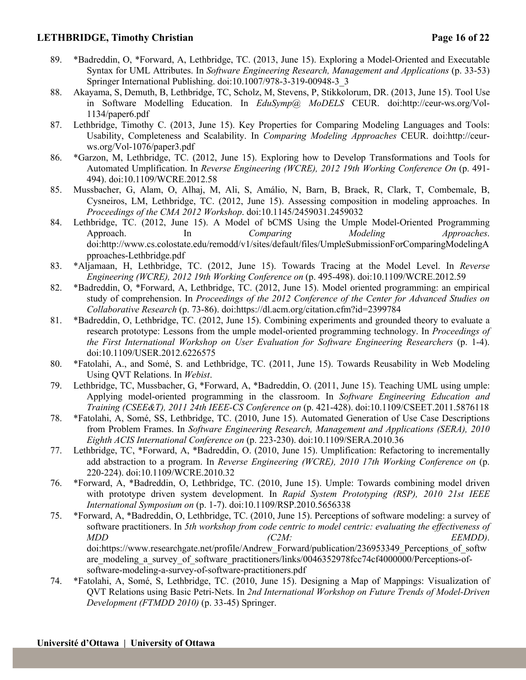## **LETHBRIDGE, Timothy Christian Page 16 of 22**

- 89. \*Badreddin, O, \*Forward, A, Lethbridge, TC. (2013, June 15). Exploring a Model-Oriented and Executable Syntax for UML Attributes. In *Software Engineering Research, Management and Applications* (p. 33-53) Springer International Publishing. doi:10.1007/978-3-319-00948-3\_3
- 88. Akayama, S, Demuth, B, Lethbridge, TC, Scholz, M, Stevens, P, Stikkolorum, DR. (2013, June 15). Tool Use in Software Modelling Education. In *EduSymp@ MoDELS* CEUR. doi:http://ceur-ws.org/Vol-1134/paper6.pdf
- 87. Lethbridge, Timothy C. (2013, June 15). Key Properties for Comparing Modeling Languages and Tools: Usability, Completeness and Scalability. In *Comparing Modeling Approaches* CEUR. doi:http://ceurws.org/Vol-1076/paper3.pdf
- 86. \*Garzon, M, Lethbridge, TC. (2012, June 15). Exploring how to Develop Transformations and Tools for Automated Umplification. In *Reverse Engineering (WCRE), 2012 19th Working Conference On* (p. 491- 494). doi:10.1109/WCRE.2012.58
- 85. Mussbacher, G, Alam, O, Alhaj, M, Ali, S, Amálio, N, Barn, B, Braek, R, Clark, T, Combemale, B, Cysneiros, LM, Lethbridge, TC. (2012, June 15). Assessing composition in modeling approaches. In *Proceedings of the CMA 2012 Workshop*. doi:10.1145/2459031.2459032
- 84. Lethbridge, TC. (2012, June 15). A Model of bCMS Using the Umple Model-Oriented Programming Approach. In *Comparing Modeling Approaches*. doi:http://www.cs.colostate.edu/remodd/v1/sites/default/files/UmpleSubmissionForComparingModelingA pproaches-Lethbridge.pdf
- 83. \*Aljamaan, H, Lethbridge, TC. (2012, June 15). Towards Tracing at the Model Level. In *Reverse Engineering (WCRE), 2012 19th Working Conference on* (p. 495-498). doi:10.1109/WCRE.2012.59
- 82. \*Badreddin, O, \*Forward, A, Lethbridge, TC. (2012, June 15). Model oriented programming: an empirical study of comprehension. In *Proceedings of the 2012 Conference of the Center for Advanced Studies on Collaborative Research* (p. 73-86). doi:https://dl.acm.org/citation.cfm?id=2399784
- 81. \*Badreddin, O, Lethbridge, TC. (2012, June 15). Combining experiments and grounded theory to evaluate a research prototype: Lessons from the umple model-oriented programming technology. In *Proceedings of the First International Workshop on User Evaluation for Software Engineering Researchers* (p. 1-4). doi:10.1109/USER.2012.6226575
- 80. \*Fatolahi, A., and Somé, S. and Lethbridge, TC. (2011, June 15). Towards Reusability in Web Modeling Using QVT Relations. In *Webist*.
- 79. Lethbridge, TC, Mussbacher, G, \*Forward, A, \*Badreddin, O. (2011, June 15). Teaching UML using umple: Applying model-oriented programming in the classroom. In *Software Engineering Education and Training (CSEE&T), 2011 24th IEEE-CS Conference on* (p. 421-428). doi:10.1109/CSEET.2011.5876118
- 78. \*Fatolahi, A, Somé, SS, Lethbridge, TC. (2010, June 15). Automated Generation of Use Case Descriptions from Problem Frames. In *Software Engineering Research, Management and Applications (SERA), 2010 Eighth ACIS International Conference on* (p. 223-230). doi:10.1109/SERA.2010.36
- 77. Lethbridge, TC, \*Forward, A, \*Badreddin, O. (2010, June 15). Umplification: Refactoring to incrementally add abstraction to a program. In *Reverse Engineering (WCRE), 2010 17th Working Conference on* (p. 220-224). doi:10.1109/WCRE.2010.32
- 76. \*Forward, A, \*Badreddin, O, Lethbridge, TC. (2010, June 15). Umple: Towards combining model driven with prototype driven system development. In *Rapid System Prototyping (RSP), 2010 21st IEEE International Symposium on* (p. 1-7). doi:10.1109/RSP.2010.5656338
- 75. \*Forward, A, \*Badreddin, O, Lethbridge, TC. (2010, June 15). Perceptions of software modeling: a survey of software practitioners. In *5th workshop from code centric to model centric: evaluating the effectiveness of MDD (C2M: EEMDD)*. doi:https://www.researchgate.net/profile/Andrew\_Forward/publication/236953349\_Perceptions\_of\_softw are modeling a survey of software practitioners/links/0046352978fcc74cf4000000/Perceptions-ofsoftware-modeling-a-survey-of-software-practitioners.pdf
- 74. \*Fatolahi, A, Somé, S, Lethbridge, TC. (2010, June 15). Designing a Map of Mappings: Visualization of QVT Relations using Basic Petri-Nets. In *2nd International Workshop on Future Trends of Model-Driven Development (FTMDD 2010)* (p. 33-45) Springer.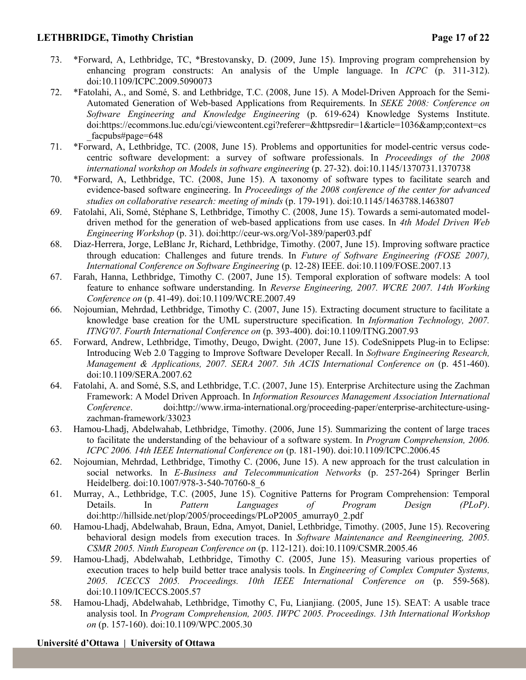## **LETHBRIDGE, Timothy Christian Page 17 of 22**

- 73. \*Forward, A, Lethbridge, TC, \*Brestovansky, D. (2009, June 15). Improving program comprehension by enhancing program constructs: An analysis of the Umple language. In *ICPC* (p. 311-312). doi:10.1109/ICPC.2009.5090073
- 72. \*Fatolahi, A., and Somé, S. and Lethbridge, T.C. (2008, June 15). A Model-Driven Approach for the Semi-Automated Generation of Web-based Applications from Requirements. In *SEKE 2008: Conference on Software Engineering and Knowledge Engineering* (p. 619-624) Knowledge Systems Institute. doi:https://ecommons.luc.edu/cgi/viewcontent.cgi?referer=&httpsredir=1&article=1036&amp:context=cs facpubs#page=648
- 71. \*Forward, A, Lethbridge, TC. (2008, June 15). Problems and opportunities for model-centric versus codecentric software development: a survey of software professionals. In *Proceedings of the 2008 international workshop on Models in software engineering* (p. 27-32). doi:10.1145/1370731.1370738
- 70. \*Forward, A, Lethbridge, TC. (2008, June 15). A taxonomy of software types to facilitate search and evidence-based software engineering. In *Proceedings of the 2008 conference of the center for advanced studies on collaborative research: meeting of minds* (p. 179-191). doi:10.1145/1463788.1463807
- 69. Fatolahi, Ali, Somé, Stéphane S, Lethbridge, Timothy C. (2008, June 15). Towards a semi-automated modeldriven method for the generation of web-based applications from use cases. In *4th Model Driven Web Engineering Workshop* (p. 31). doi:http://ceur-ws.org/Vol-389/paper03.pdf
- 68. Diaz-Herrera, Jorge, LeBlanc Jr, Richard, Lethbridge, Timothy. (2007, June 15). Improving software practice through education: Challenges and future trends. In *Future of Software Engineering (FOSE 2007), International Conference on Software Engineering* (p. 12-28) IEEE. doi:10.1109/FOSE.2007.13
- 67. Farah, Hanna, Lethbridge, Timothy C. (2007, June 15). Temporal exploration of software models: A tool feature to enhance software understanding. In *Reverse Engineering, 2007. WCRE 2007. 14th Working Conference on* (p. 41-49). doi:10.1109/WCRE.2007.49
- 66. Nojoumian, Mehrdad, Lethbridge, Timothy C. (2007, June 15). Extracting document structure to facilitate a knowledge base creation for the UML superstructure specification. In *Information Technology, 2007. ITNG'07. Fourth International Conference on* (p. 393-400). doi:10.1109/ITNG.2007.93
- 65. Forward, Andrew, Lethbridge, Timothy, Deugo, Dwight. (2007, June 15). CodeSnippets Plug-in to Eclipse: Introducing Web 2.0 Tagging to Improve Software Developer Recall. In *Software Engineering Research, Management & Applications, 2007. SERA 2007. 5th ACIS International Conference on* (p. 451-460). doi:10.1109/SERA.2007.62
- 64. Fatolahi, A. and Somé, S.S, and Lethbridge, T.C. (2007, June 15). Enterprise Architecture using the Zachman Framework: A Model Driven Approach. In *Information Resources Management Association International Conference*. doi:http://www.irma-international.org/proceeding-paper/enterprise-architecture-usingzachman-framework/33023
- 63. Hamou-Lhadj, Abdelwahab, Lethbridge, Timothy. (2006, June 15). Summarizing the content of large traces to facilitate the understanding of the behaviour of a software system. In *Program Comprehension, 2006. ICPC 2006. 14th IEEE International Conference on* (p. 181-190). doi:10.1109/ICPC.2006.45
- 62. Nojoumian, Mehrdad, Lethbridge, Timothy C. (2006, June 15). A new approach for the trust calculation in social networks. In *E-Business and Telecommunication Networks* (p. 257-264) Springer Berlin Heidelberg. doi:10.1007/978-3-540-70760-8\_6
- 61. Murray, A., Lethbridge, T.C. (2005, June 15). Cognitive Patterns for Program Comprehension: Temporal Details. In *Pattern Languages of Program Design (PLoP)*. doi:http://hillside.net/plop/2005/proceedings/PLoP2005\_amurray0\_2.pdf
- 60. Hamou-Lhadj, Abdelwahab, Braun, Edna, Amyot, Daniel, Lethbridge, Timothy. (2005, June 15). Recovering behavioral design models from execution traces. In *Software Maintenance and Reengineering, 2005. CSMR 2005. Ninth European Conference on* (p. 112-121). doi:10.1109/CSMR.2005.46
- 59. Hamou-Lhadj, Abdelwahab, Lethbridge, Timothy C. (2005, June 15). Measuring various properties of execution traces to help build better trace analysis tools. In *Engineering of Complex Computer Systems, 2005. ICECCS 2005. Proceedings. 10th IEEE International Conference on* (p. 559-568). doi:10.1109/ICECCS.2005.57
- 58. Hamou-Lhadj, Abdelwahab, Lethbridge, Timothy C, Fu, Lianjiang. (2005, June 15). SEAT: A usable trace analysis tool. In *Program Comprehension, 2005. IWPC 2005. Proceedings. 13th International Workshop on* (p. 157-160). doi:10.1109/WPC.2005.30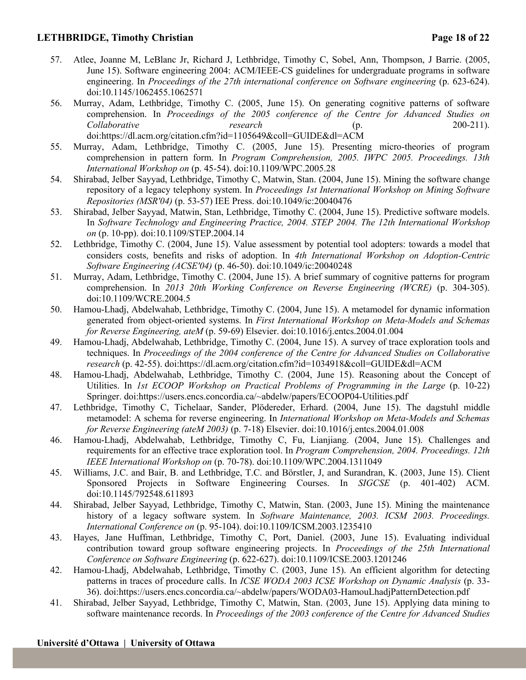## **LETHBRIDGE, Timothy Christian Page 18 of 22**

- 57. Atlee, Joanne M, LeBlanc Jr, Richard J, Lethbridge, Timothy C, Sobel, Ann, Thompson, J Barrie. (2005, June 15). Software engineering 2004: ACM/IEEE-CS guidelines for undergraduate programs in software engineering. In *Proceedings of the 27th international conference on Software engineering* (p. 623-624). doi:10.1145/1062455.1062571
- 56. Murray, Adam, Lethbridge, Timothy C. (2005, June 15). On generating cognitive patterns of software comprehension. In *Proceedings of the 2005 conference of the Centre for Advanced Studies on Collaborative research* (p. 200-211). doi:https://dl.acm.org/citation.cfm?id=1105649&coll=GUIDE&dl=ACM
- 55. Murray, Adam, Lethbridge, Timothy C. (2005, June 15). Presenting micro-theories of program comprehension in pattern form. In *Program Comprehension, 2005. IWPC 2005. Proceedings. 13th International Workshop on* (p. 45-54). doi:10.1109/WPC.2005.28
- 54. Shirabad, Jelber Sayyad, Lethbridge, Timothy C, Matwin, Stan. (2004, June 15). Mining the software change repository of a legacy telephony system. In *Proceedings 1st International Workshop on Mining Software Repositories (MSR'04)* (p. 53-57) IEE Press. doi:10.1049/ic:20040476
- 53. Shirabad, Jelber Sayyad, Matwin, Stan, Lethbridge, Timothy C. (2004, June 15). Predictive software models. In *Software Technology and Engineering Practice, 2004. STEP 2004. The 12th International Workshop on* (p. 10-pp). doi:10.1109/STEP.2004.14
- 52. Lethbridge, Timothy C. (2004, June 15). Value assessment by potential tool adopters: towards a model that considers costs, benefits and risks of adoption. In *4th International Workshop on Adoption-Centric Software Engineering (ACSE'04)* (p. 46-50). doi:10.1049/ic:20040248
- 51. Murray, Adam, Lethbridge, Timothy C. (2004, June 15). A brief summary of cognitive patterns for program comprehension. In *2013 20th Working Conference on Reverse Engineering (WCRE)* (p. 304-305). doi:10.1109/WCRE.2004.5
- 50. Hamou-Lhadj, Abdelwahab, Lethbridge, Timothy C. (2004, June 15). A metamodel for dynamic information generated from object-oriented systems. In *First International Workshop on Meta-Models and Schemas for Reverse Engineering, ateM* (p. 59-69) Elsevier. doi:10.1016/j.entcs.2004.01.004
- 49. Hamou-Lhadj, Abdelwahab, Lethbridge, Timothy C. (2004, June 15). A survey of trace exploration tools and techniques. In *Proceedings of the 2004 conference of the Centre for Advanced Studies on Collaborative research* (p. 42-55). doi:https://dl.acm.org/citation.cfm?id=1034918&coll=GUIDE&dl=ACM
- 48. Hamou-Lhadj, Abdelwahab, Lethbridge, Timothy C. (2004, June 15). Reasoning about the Concept of Utilities. In *1st ECOOP Workshop on Practical Problems of Programming in the Large* (p. 10-22) Springer. doi:https://users.encs.concordia.ca/~abdelw/papers/ECOOP04-Utilities.pdf
- 47. Lethbridge, Timothy C, Tichelaar, Sander, Plödereder, Erhard. (2004, June 15). The dagstuhl middle metamodel: A schema for reverse engineering. In *International Workshop on Meta-Models and Schemas for Reverse Engineering (ateM 2003)* (p. 7-18) Elsevier. doi:10.1016/j.entcs.2004.01.008
- 46. Hamou-Lhadj, Abdelwahab, Lethbridge, Timothy C, Fu, Lianjiang. (2004, June 15). Challenges and requirements for an effective trace exploration tool. In *Program Comprehension, 2004. Proceedings. 12th IEEE International Workshop on* (p. 70-78). doi:10.1109/WPC.2004.1311049
- 45. Williams, J.C. and Bair, B. and Lethbridge, T.C. and Börstler, J, and Surandran, K. (2003, June 15). Client Sponsored Projects in Software Engineering Courses. In *SIGCSE* (p. 401-402) ACM. doi:10.1145/792548.611893
- 44. Shirabad, Jelber Sayyad, Lethbridge, Timothy C, Matwin, Stan. (2003, June 15). Mining the maintenance history of a legacy software system. In *Software Maintenance, 2003. ICSM 2003. Proceedings. International Conference on* (p. 95-104). doi:10.1109/ICSM.2003.1235410
- 43. Hayes, Jane Huffman, Lethbridge, Timothy C, Port, Daniel. (2003, June 15). Evaluating individual contribution toward group software engineering projects. In *Proceedings of the 25th International Conference on Software Engineering* (p. 622-627). doi:10.1109/ICSE.2003.1201246
- 42. Hamou-Lhadj, Abdelwahab, Lethbridge, Timothy C. (2003, June 15). An efficient algorithm for detecting patterns in traces of procedure calls. In *ICSE WODA 2003 ICSE Workshop on Dynamic Analysis* (p. 33- 36). doi:https://users.encs.concordia.ca/~abdelw/papers/WODA03-HamouLhadjPatternDetection.pdf
- 41. Shirabad, Jelber Sayyad, Lethbridge, Timothy C, Matwin, Stan. (2003, June 15). Applying data mining to software maintenance records. In *Proceedings of the 2003 conference of the Centre for Advanced Studies*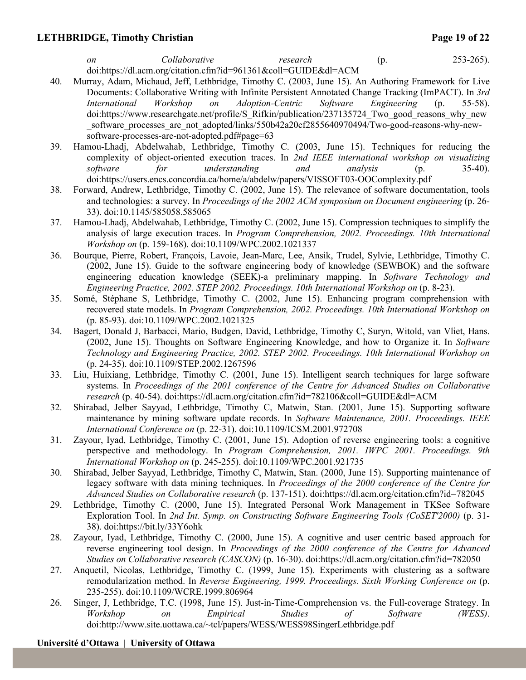## **LETHBRIDGE, Timothy Christian Page 19 of 22**

| - on | Collaborative                                                   | research | (p <sub>1</sub> ) | $253 - 265$ ). |
|------|-----------------------------------------------------------------|----------|-------------------|----------------|
|      | doi:https://dl.acm.org/citation.cfm?id=961361&coll=GUIDE&dl=ACM |          |                   |                |

- 40. Murray, Adam, Michaud, Jeff, Lethbridge, Timothy C. (2003, June 15). An Authoring Framework for Live Documents: Collaborative Writing with Infinite Persistent Annotated Change Tracking (ImPACT). In *3rd International Workshop on Adoption-Centric Software Engineering* (p. 55-58). doi:https://www.researchgate.net/profile/S\_Rifkin/publication/237135724\_Two\_good\_reasons\_why\_new software processes are not adopted/links/550b42a20cf2855640970494/Two-good-reasons-why-newsoftware-processes-are-not-adopted.pdf#page=63
- 39. Hamou-Lhadj, Abdelwahab, Lethbridge, Timothy C. (2003, June 15). Techniques for reducing the complexity of object-oriented execution traces. In *2nd IEEE international workshop on visualizing software for understanding and analysis* (p. 35-40). doi:https://users.encs.concordia.ca/home/a/abdelw/papers/VISSOFT03-OOComplexity.pdf
- 38. Forward, Andrew, Lethbridge, Timothy C. (2002, June 15). The relevance of software documentation, tools and technologies: a survey. In *Proceedings of the 2002 ACM symposium on Document engineering* (p. 26- 33). doi:10.1145/585058.585065
- 37. Hamou-Lhadj, Abdelwahab, Lethbridge, Timothy C. (2002, June 15). Compression techniques to simplify the analysis of large execution traces. In *Program Comprehension, 2002. Proceedings. 10th International Workshop on* (p. 159-168). doi:10.1109/WPC.2002.1021337
- 36. Bourque, Pierre, Robert, François, Lavoie, Jean-Marc, Lee, Ansik, Trudel, Sylvie, Lethbridge, Timothy C. (2002, June 15). Guide to the software engineering body of knowledge (SEWBOK) and the software engineering education knowledge (SEEK)-a preliminary mapping. In *Software Technology and Engineering Practice, 2002. STEP 2002. Proceedings. 10th International Workshop on* (p. 8-23).
- 35. Somé, Stéphane S, Lethbridge, Timothy C. (2002, June 15). Enhancing program comprehension with recovered state models. In *Program Comprehension, 2002. Proceedings. 10th International Workshop on* (p. 85-93). doi:10.1109/WPC.2002.1021325
- 34. Bagert, Donald J, Barbacci, Mario, Budgen, David, Lethbridge, Timothy C, Suryn, Witold, van Vliet, Hans. (2002, June 15). Thoughts on Software Engineering Knowledge, and how to Organize it. In *Software Technology and Engineering Practice, 2002. STEP 2002. Proceedings. 10th International Workshop on* (p. 24-35). doi:10.1109/STEP.2002.1267596
- 33. Liu, Huixiang, Lethbridge, Timothy C. (2001, June 15). Intelligent search techniques for large software systems. In *Proceedings of the 2001 conference of the Centre for Advanced Studies on Collaborative research* (p. 40-54). doi:https://dl.acm.org/citation.cfm?id=782106&coll=GUIDE&dl=ACM
- 32. Shirabad, Jelber Sayyad, Lethbridge, Timothy C, Matwin, Stan. (2001, June 15). Supporting software maintenance by mining software update records. In *Software Maintenance, 2001. Proceedings. IEEE International Conference on* (p. 22-31). doi:10.1109/ICSM.2001.972708
- 31. Zayour, Iyad, Lethbridge, Timothy C. (2001, June 15). Adoption of reverse engineering tools: a cognitive perspective and methodology. In *Program Comprehension, 2001. IWPC 2001. Proceedings. 9th International Workshop on* (p. 245-255). doi:10.1109/WPC.2001.921735
- 30. Shirabad, Jelber Sayyad, Lethbridge, Timothy C, Matwin, Stan. (2000, June 15). Supporting maintenance of legacy software with data mining techniques. In *Proceedings of the 2000 conference of the Centre for Advanced Studies on Collaborative research* (p. 137-151). doi:https://dl.acm.org/citation.cfm?id=782045
- 29. Lethbridge, Timothy C. (2000, June 15). Integrated Personal Work Management in TKSee Software Exploration Tool. In *2nd Int. Symp. on Constructing Software Engineering Tools (CoSET'2000)* (p. 31- 38). doi:https://bit.ly/33Y6ohk
- 28. Zayour, Iyad, Lethbridge, Timothy C. (2000, June 15). A cognitive and user centric based approach for reverse engineering tool design. In *Proceedings of the 2000 conference of the Centre for Advanced Studies on Collaborative research (CASCON)* (p. 16-30). doi:https://dl.acm.org/citation.cfm?id=782050
- 27. Anquetil, Nicolas, Lethbridge, Timothy C. (1999, June 15). Experiments with clustering as a software remodularization method. In *Reverse Engineering, 1999. Proceedings. Sixth Working Conference on* (p. 235-255). doi:10.1109/WCRE.1999.806964
- 26. Singer, J, Lethbridge, T.C. (1998, June 15). Just-in-Time-Comprehension vs. the Full-coverage Strategy. In *Workshop on Empirical Studies of Software (WESS)*. doi:http://www.site.uottawa.ca/~tcl/papers/WESS/WESS98SingerLethbridge.pdf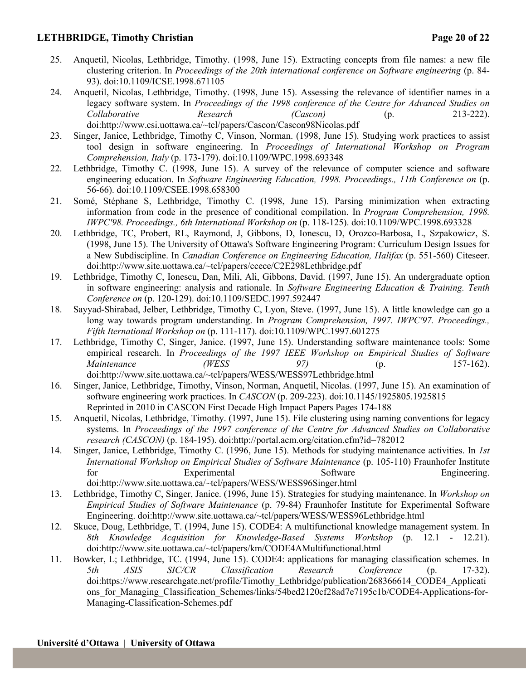### **LETHBRIDGE, Timothy Christian Page 20 of 22**

- 25. Anquetil, Nicolas, Lethbridge, Timothy. (1998, June 15). Extracting concepts from file names: a new file clustering criterion. In *Proceedings of the 20th international conference on Software engineering* (p. 84- 93). doi:10.1109/ICSE.1998.671105
- 24. Anquetil, Nicolas, Lethbridge, Timothy. (1998, June 15). Assessing the relevance of identifier names in a legacy software system. In *Proceedings of the 1998 conference of the Centre for Advanced Studies on Collaborative Research (Cascon)* (p. 213-222). doi:http://www.csi.uottawa.ca/~tcl/papers/Cascon/Cascon98Nicolas.pdf
- 23. Singer, Janice, Lethbridge, Timothy C, Vinson, Norman. (1998, June 15). Studying work practices to assist tool design in software engineering. In *Proceedings of International Workshop on Program Comprehension, Italy* (p. 173-179). doi:10.1109/WPC.1998.693348
- 22. Lethbridge, Timothy C. (1998, June 15). A survey of the relevance of computer science and software engineering education. In *Software Engineering Education, 1998. Proceedings., 11th Conference on* (p. 56-66). doi:10.1109/CSEE.1998.658300
- 21. Somé, Stéphane S, Lethbridge, Timothy C. (1998, June 15). Parsing minimization when extracting information from code in the presence of conditional compilation. In *Program Comprehension, 1998. IWPC'98. Proceedings., 6th International Workshop on* (p. 118-125). doi:10.1109/WPC.1998.693328
- 20. Lethbridge, TC, Probert, RL, Raymond, J, Gibbons, D, Ionescu, D, Orozco-Barbosa, L, Szpakowicz, S. (1998, June 15). The University of Ottawa's Software Engineering Program: Curriculum Design Issues for a New Subdiscipline. In *Canadian Conference on Engineering Education, Halifax* (p. 551-560) Citeseer. doi:http://www.site.uottawa.ca/~tcl/papers/ccece/C2E298Lethbridge.pdf
- 19. Lethbridge, Timothy C, Ionescu, Dan, Mili, Ali, Gibbons, David. (1997, June 15). An undergraduate option in software engineering: analysis and rationale. In *Software Engineering Education & Training. Tenth Conference on* (p. 120-129). doi:10.1109/SEDC.1997.592447
- 18. Sayyad-Shirabad, Jelber, Lethbridge, Timothy C, Lyon, Steve. (1997, June 15). A little knowledge can go a long way towards program understanding. In *Program Comprehension, 1997. IWPC'97. Proceedings., Fifth Iternational Workshop on* (p. 111-117). doi:10.1109/WPC.1997.601275
- 17. Lethbridge, Timothy C, Singer, Janice. (1997, June 15). Understanding software maintenance tools: Some empirical research. In *Proceedings of the 1997 IEEE Workshop on Empirical Studies of Software Maintenance (WESS 97)* (p. 157-162). doi:http://www.site.uottawa.ca/~tcl/papers/WESS/WESS97Lethbridge.html
- 16. Singer, Janice, Lethbridge, Timothy, Vinson, Norman, Anquetil, Nicolas. (1997, June 15). An examination of software engineering work practices. In *CASCON* (p. 209-223). doi:10.1145/1925805.1925815 Reprinted in 2010 in CASCON First Decade High Impact Papers Pages 174-188
- 15. Anquetil, Nicolas, Lethbridge, Timothy. (1997, June 15). File clustering using naming conventions for legacy systems. In *Proceedings of the 1997 conference of the Centre for Advanced Studies on Collaborative research (CASCON)* (p. 184-195). doi:http://portal.acm.org/citation.cfm?id=782012
- 14. Singer, Janice, Lethbridge, Timothy C. (1996, June 15). Methods for studying maintenance activities. In *1st International Workshop on Empirical Studies of Software Maintenance* (p. 105-110) Fraunhofer Institute for Experimental Software Engineering. doi:http://www.site.uottawa.ca/~tcl/papers/WESS/WESS96Singer.html
- 13. Lethbridge, Timothy C, Singer, Janice. (1996, June 15). Strategies for studying maintenance. In *Workshop on Empirical Studies of Software Maintenance* (p. 79-84) Fraunhofer Institute for Experimental Software Engineering. doi:http://www.site.uottawa.ca/~tcl/papers/WESS/WESS96Lethbridge.html
- 12. Skuce, Doug, Lethbridge, T. (1994, June 15). CODE4: A multifunctional knowledge management system. In *8th Knowledge Acquisition for Knowledge-Based Systems Workshop* (p. 12.1 - 12.21). doi:http://www.site.uottawa.ca/~tcl/papers/km/CODE4AMultifunctional.html
- 11. Bowker, L; Lethbridge, TC. (1994, June 15). CODE4: applications for managing classification schemes. In *5th ASIS SIC/CR Classification Research Conference* (p. 17-32). doi:https://www.researchgate.net/profile/Timothy\_Lethbridge/publication/268366614\_CODE4\_Applicati ons for Managing Classification Schemes/links/54bed2120cf28ad7e7195c1b/CODE4-Applications-for-Managing-Classification-Schemes.pdf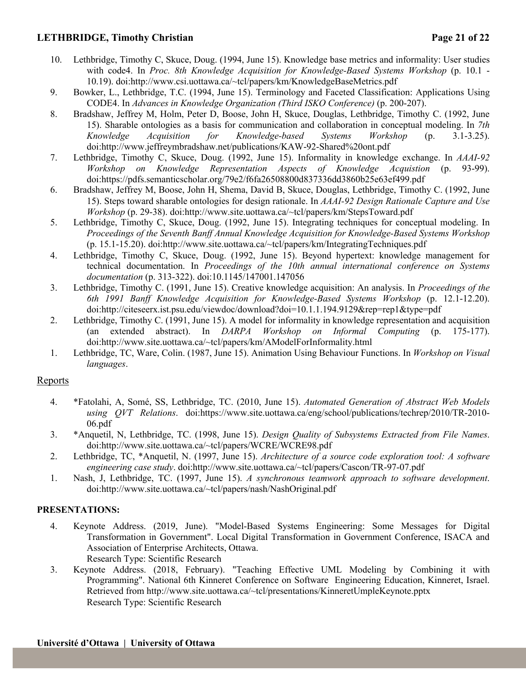## **LETHBRIDGE, Timothy Christian Page 21 of 22**

- 10. Lethbridge, Timothy C, Skuce, Doug. (1994, June 15). Knowledge base metrics and informality: User studies with code4. In *Proc. 8th Knowledge Acquisition for Knowledge-Based Systems Workshop* (p. 10.1 - 10.19). doi:http://www.csi.uottawa.ca/~tcl/papers/km/KnowledgeBaseMetrics.pdf
- 9. Bowker, L., Lethbridge, T.C. (1994, June 15). Terminology and Faceted Classification: Applications Using CODE4. In *Advances in Knowledge Organization (Third ISKO Conference)* (p. 200-207).
- 8. Bradshaw, Jeffrey M, Holm, Peter D, Boose, John H, Skuce, Douglas, Lethbridge, Timothy C. (1992, June 15). Sharable ontologies as a basis for communication and collaboration in conceptual modeling. In *7th Knowledge Acquisition for Knowledge-based Systems Workshop* (p. 3.1-3.25). doi:http://www.jeffreymbradshaw.net/publications/KAW-92-Shared%20ont.pdf
- 7. Lethbridge, Timothy C, Skuce, Doug. (1992, June 15). Informality in knowledge exchange. In *AAAI-92 Workshop on Knowledge Representation Aspects of Knowledge Acquistion* (p. 93-99). doi:https://pdfs.semanticscholar.org/79e2/f6fa26508800d837336dd3860b25e63ef499.pdf
- 6. Bradshaw, Jeffrey M, Boose, John H, Shema, David B, Skuce, Douglas, Lethbridge, Timothy C. (1992, June 15). Steps toward sharable ontologies for design rationale. In *AAAI-92 Design Rationale Capture and Use Workshop* (p. 29-38). doi:http://www.site.uottawa.ca/~tcl/papers/km/StepsToward.pdf
- 5. Lethbridge, Timothy C, Skuce, Doug. (1992, June 15). Integrating techniques for conceptual modeling. In *Proceedings of the Seventh Banff Annual Knowledge Acquisition for Knowledge-Based Systems Workshop* (p. 15.1-15.20). doi:http://www.site.uottawa.ca/~tcl/papers/km/IntegratingTechniques.pdf
- 4. Lethbridge, Timothy C, Skuce, Doug. (1992, June 15). Beyond hypertext: knowledge management for technical documentation. In *Proceedings of the 10th annual international conference on Systems documentation* (p. 313-322). doi:10.1145/147001.147056
- 3. Lethbridge, Timothy C. (1991, June 15). Creative knowledge acquisition: An analysis. In *Proceedings of the 6th 1991 Banff Knowledge Acquisition for Knowledge-Based Systems Workshop* (p. 12.1-12.20). doi:http://citeseerx.ist.psu.edu/viewdoc/download?doi=10.1.1.194.9129&rep=rep1&type=pdf
- 2. Lethbridge, Timothy C. (1991, June 15). A model for informality in knowledge representation and acquisition (an extended abstract). In *DARPA Workshop on Informal Computing* (p. 175-177). doi:http://www.site.uottawa.ca/~tcl/papers/km/AModelForInformality.html
- 1. Lethbridge, TC, Ware, Colin. (1987, June 15). Animation Using Behaviour Functions. In *Workshop on Visual languages*.

### **Reports**

- 4. \*Fatolahi, A, Somé, SS, Lethbridge, TC. (2010, June 15). *Automated Generation of Abstract Web Models using QVT Relations*. doi:https://www.site.uottawa.ca/eng/school/publications/techrep/2010/TR-2010- 06.pdf
- 3. \*Anquetil, N, Lethbridge, TC. (1998, June 15). *Design Quality of Subsystems Extracted from File Names*. doi:http://www.site.uottawa.ca/~tcl/papers/WCRE/WCRE98.pdf
- 2. Lethbridge, TC, \*Anquetil, N. (1997, June 15). *Architecture of a source code exploration tool: A software engineering case study*. doi:http://www.site.uottawa.ca/~tcl/papers/Cascon/TR-97-07.pdf
- 1. Nash, J, Lethbridge, TC. (1997, June 15). *A synchronous teamwork approach to software development*. doi:http://www.site.uottawa.ca/~tcl/papers/nash/NashOriginal.pdf

### **PRESENTATIONS:**

- 4. Keynote Address. (2019, June). "Model-Based Systems Engineering: Some Messages for Digital Transformation in Government". Local Digital Transformation in Government Conference, ISACA and Association of Enterprise Architects, Ottawa. Research Type: Scientific Research
- 3. Keynote Address. (2018, February). "Teaching Effective UML Modeling by Combining it with Programming". National 6th Kinneret Conference on Software Engineering Education, Kinneret, Israel. Retrieved from http://www.site.uottawa.ca/~tcl/presentations/KinneretUmpleKeynote.pptx Research Type: Scientific Research